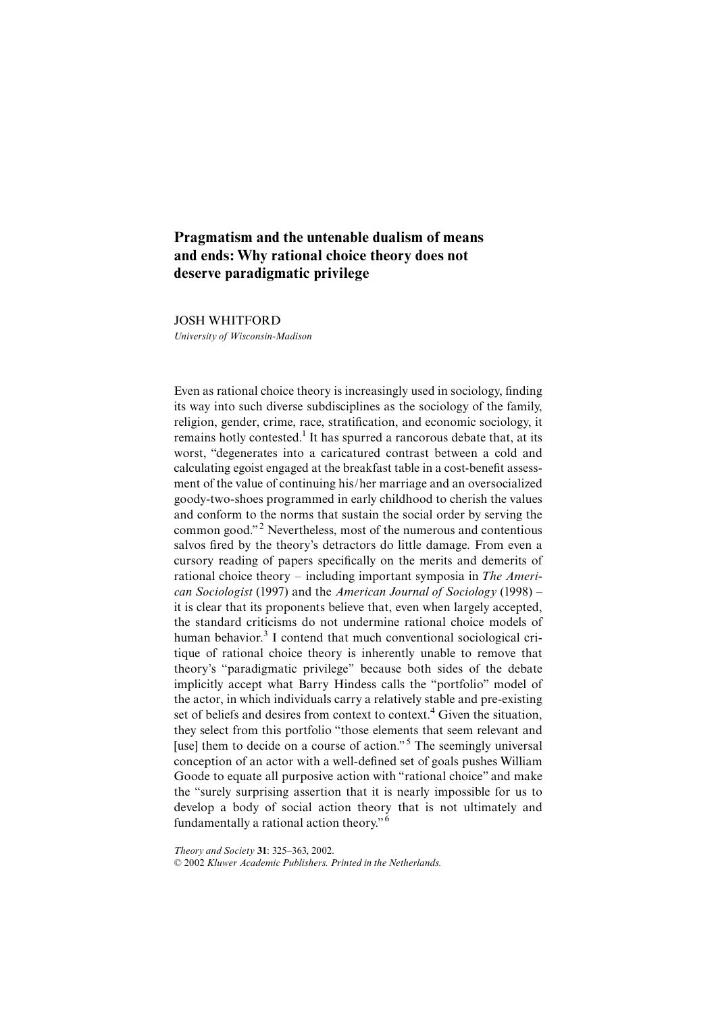# Pragmatism and the untenable dualism of means and ends: Why rational choice theory does not deserve paradigmatic privilege

JOSH WHITFORD

University of Wisconsin-Madison

Even as rational choice theory is increasingly used in sociology, finding its way into such diverse subdisciplines as the sociology of the family, religion, gender, crime, race, stratification, and economic sociology, it remains hotly contested.<sup>1</sup> It has spurred a rancorous debate that, at its worst, "degenerates into a caricatured contrast between a cold and calculating egoist engaged at the breakfast table in a cost-benefit assessment of the value of continuing his/her marriage and an oversocialized goody-two-shoes programmed in early childhood to cherish the values and conform to the norms that sustain the social order by serving the common good."<sup>2</sup> Nevertheless, most of the numerous and contentious salvos fired by the theory's detractors do little damage. From even a cursory reading of papers specifically on the merits and demerits of rational choice theory  $-$  including important symposia in The American Sociologist (1997) and the American Journal of Sociology (1998) – it is clear that its proponents believe that, even when largely accepted, the standard criticisms do not undermine rational choice models of human behavior. $3 \text{ I}$  contend that much conventional sociological critique of rational choice theory is inherently unable to remove that theory's ''paradigmatic privilege'' because both sides of the debate implicitly accept what Barry Hindess calls the ''portfolio'' model of the actor, in which individuals carry a relatively stable and pre-existing set of beliefs and desires from context to context.<sup>4</sup> Given the situation, they select from this portfolio ''those elements that seem relevant and [use] them to decide on a course of action."<sup>5</sup> The seemingly universal conception of an actor with a well-defined set of goals pushes William Goode to equate all purposive action with ''rational choice'' and make the ''surely surprising assertion that it is nearly impossible for us to develop a body of social action theory that is not ultimately and fundamentally a rational action theory."<sup>6</sup>

Theory and Society 31: 325-363, 2002.

© 2002 Kluwer Academic Publishers. Printed in the Netherlands.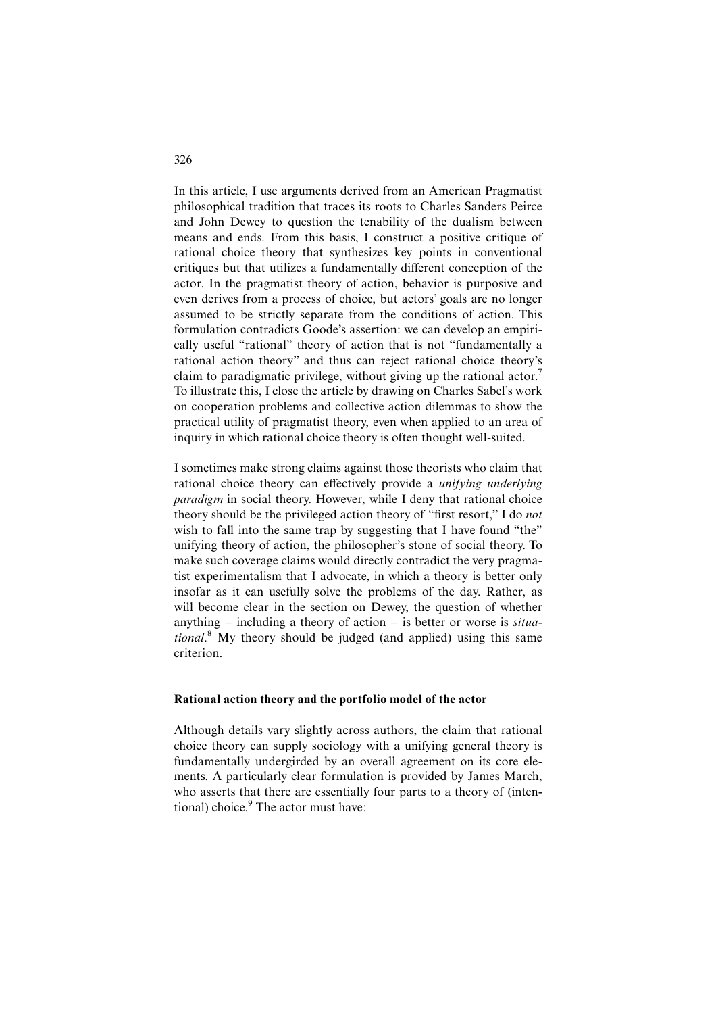In this article, I use arguments derived from an American Pragmatist philosophical tradition that traces its roots to Charles Sanders Peirce and John Dewey to question the tenability of the dualism between means and ends. From this basis, I construct a positive critique of rational choice theory that synthesizes key points in conventional critiques but that utilizes a fundamentally different conception of the actor. In the pragmatist theory of action, behavior is purposive and even derives from a process of choice, but actors' goals are no longer assumed to be strictly separate from the conditions of action. This formulation contradicts Goode's assertion: we can develop an empirically useful "rational" theory of action that is not "fundamentally a rational action theory'' and thus can reject rational choice theory's claim to paradigmatic privilege, without giving up the rational actor.<sup>7</sup> To illustrate this, I close the article by drawing on Charles Sabel's work on cooperation problems and collective action dilemmas to show the practical utility of pragmatist theory, even when applied to an area of inquiry in which rational choice theory is often thought well-suited.

I sometimes make strong claims against those theorists who claim that rational choice theory can effectively provide a *unifying underlying* paradigm in social theory. However, while I deny that rational choice theory should be the privileged action theory of "first resort," I do not wish to fall into the same trap by suggesting that I have found "the" unifying theory of action, the philosopher's stone of social theory. To make such coverage claims would directly contradict the very pragmatist experimentalism that I advocate, in which a theory is better only insofar as it can usefully solve the problems of the day. Rather, as will become clear in the section on Dewey, the question of whether anything  $-$  including a theory of action  $-$  is better or worse is situational.<sup>8</sup> My theory should be judged (and applied) using this same criterion.

#### Rational action theory and the portfolio model of the actor

Although details vary slightly across authors, the claim that rational choice theory can supply sociology with a unifying general theory is fundamentally undergirded by an overall agreement on its core elements. A particularly clear formulation is provided by James March, who asserts that there are essentially four parts to a theory of (intentional) choice.<sup>9</sup> The actor must have: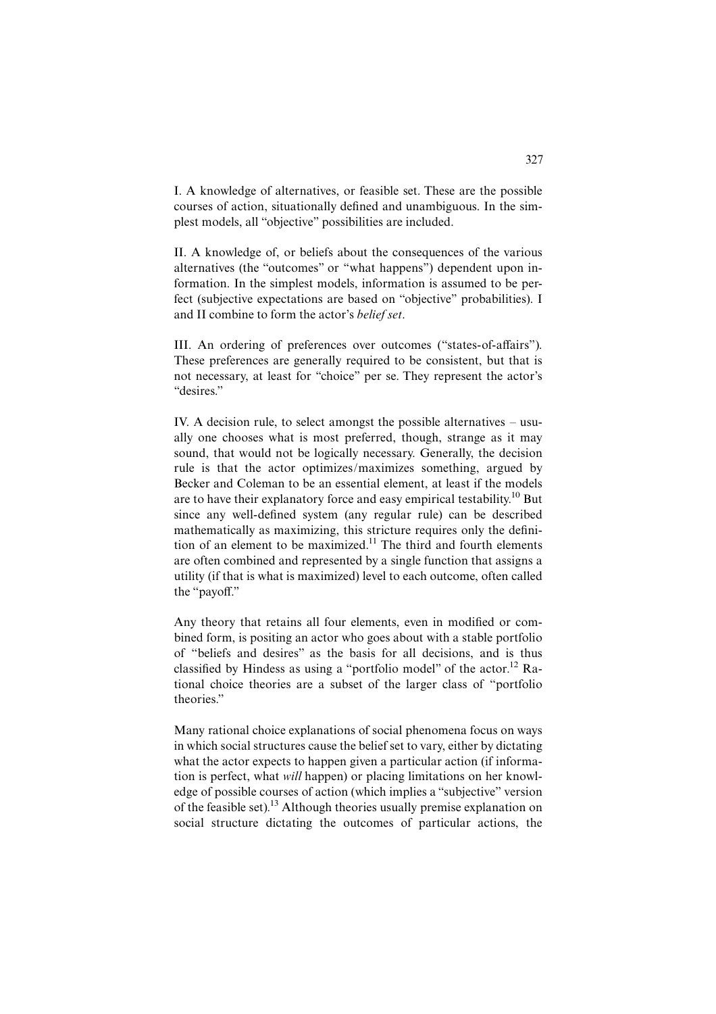I. A knowledge of alternatives, or feasible set. These are the possible courses of action, situationally defined and unambiguous. In the simplest models, all ''objective'' possibilities are included.

II. A knowledge of, or beliefs about the consequences of the various alternatives (the ''outcomes'' or ''what happens'') dependent upon information. In the simplest models, information is assumed to be perfect (subjective expectations are based on ''objective'' probabilities). I and II combine to form the actor's belief set.

III. An ordering of preferences over outcomes ("states-of-affairs"). These preferences are generally required to be consistent, but that is not necessary, at least for ''choice'' per se. They represent the actor's ''desires.''

IV. A decision rule, to select amongst the possible alternatives  $-$  usually one chooses what is most preferred, though, strange as it may sound, that would not be logically necessary. Generally, the decision rule is that the actor optimizes/maximizes something, argued by Becker and Coleman to be an essential element, at least if the models are to have their explanatory force and easy empirical testability.<sup>10</sup> But since any well-defined system (any regular rule) can be described mathematically as maximizing, this stricture requires only the definition of an element to be maximized.<sup>11</sup> The third and fourth elements are often combined and represented by a single function that assigns a utility (if that is what is maximized) level to each outcome, often called the "payoff."

Any theory that retains all four elements, even in modified or combined form, is positing an actor who goes about with a stable portfolio of ''beliefs and desires'' as the basis for all decisions, and is thus classified by Hindess as using a "portfolio model" of the actor.<sup>12</sup> Rational choice theories are a subset of the larger class of ''portfolio theories.''

Many rational choice explanations of social phenomena focus on ways in which social structures cause the belief set to vary, either by dictating what the actor expects to happen given a particular action (if information is perfect, what will happen) or placing limitations on her knowledge of possible courses of action (which implies a ''subjective'' version of the feasible set).13 Although theories usually premise explanation on social structure dictating the outcomes of particular actions, the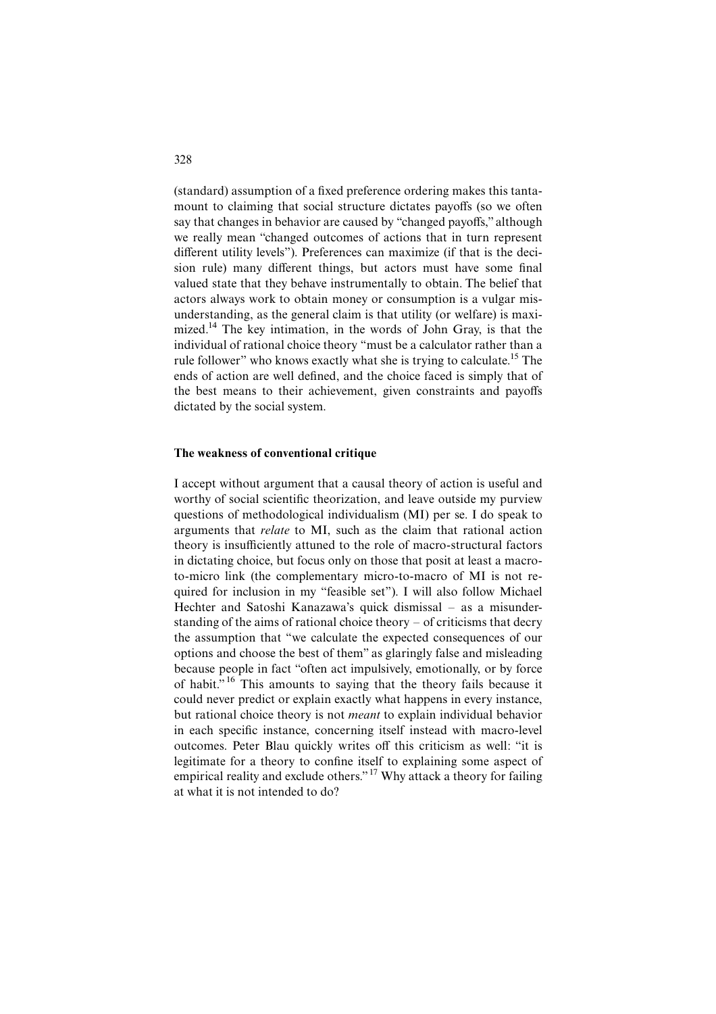(standard) assumption of a fixed preference ordering makes this tantamount to claiming that social structure dictates payoffs (so we often say that changes in behavior are caused by "changed payoffs," although we really mean ''changed outcomes of actions that in turn represent different utility levels"). Preferences can maximize (if that is the decision rule) many different things, but actors must have some final valued state that they behave instrumentally to obtain. The belief that actors always work to obtain money or consumption is a vulgar misunderstanding, as the general claim is that utility (or welfare) is maximized.<sup>14</sup> The key intimation, in the words of John Gray, is that the individual of rational choice theory ''must be a calculator rather than a rule follower'' who knows exactly what she is trying to calculate.15 The ends of action are well defined, and the choice faced is simply that of the best means to their achievement, given constraints and payoffs dictated by the social system.

## The weakness of conventional critique

I accept without argument that a causal theory of action is useful and worthy of social scientific theorization, and leave outside my purview questions of methodological individualism (MI) per se. I do speak to arguments that relate to MI, such as the claim that rational action theory is insufficiently attuned to the role of macro-structural factors in dictating choice, but focus only on those that posit at least a macroto-micro link (the complementary micro-to-macro of MI is not required for inclusion in my "feasible set"). I will also follow Michael Hechter and Satoshi Kanazawa's quick dismissal – as a misunderstanding of the aims of rational choice theory  $-$  of criticisms that decry the assumption that ''we calculate the expected consequences of our options and choose the best of them'' as glaringly false and misleading because people in fact ''often act impulsively, emotionally, or by force of habit."<sup>16</sup> This amounts to saying that the theory fails because it could never predict or explain exactly what happens in every instance, but rational choice theory is not meant to explain individual behavior in each specific instance, concerning itself instead with macro-level outcomes. Peter Blau quickly writes off this criticism as well: "it is legitimate for a theory to confine itself to explaining some aspect of empirical reality and exclude others."<sup>17</sup> Why attack a theory for failing at what it is not intended to do?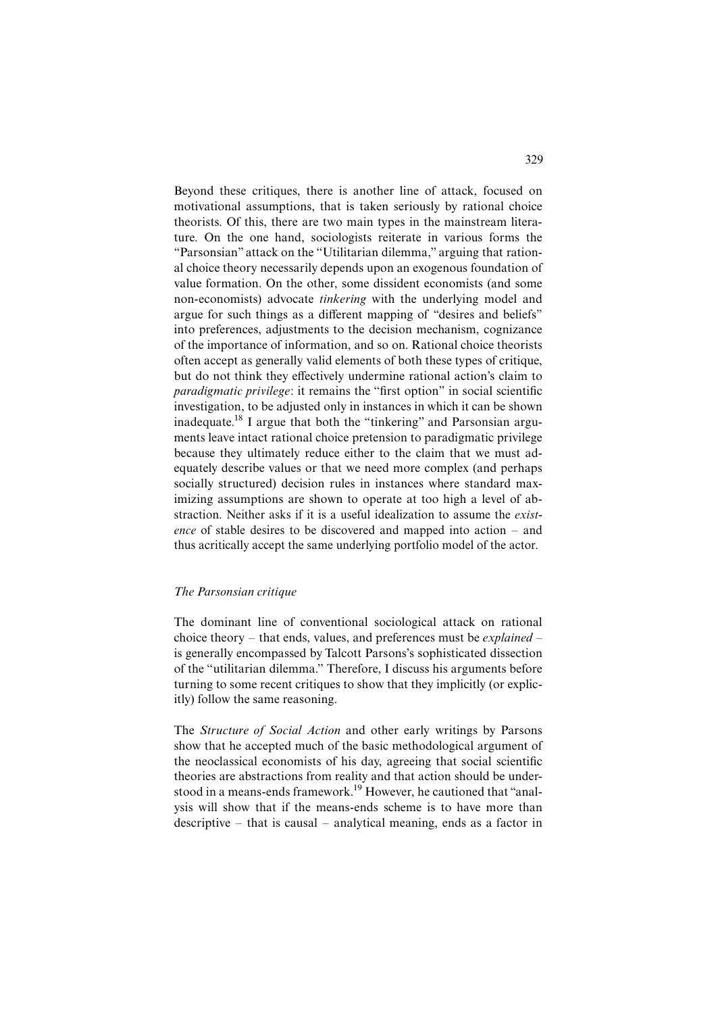Beyond these critiques, there is another line of attack, focused on motivational assumptions, that is taken seriously by rational choice theorists. Of this, there are two main types in the mainstream literature. On the one hand, sociologists reiterate in various forms the "Parsonsian" attack on the "Utilitarian dilemma," arguing that rational choice theory necessarily depends upon an exogenous foundation of value formation. On the other, some dissident economists (and some non-economists) advocate tinkering with the underlying model and argue for such things as a different mapping of "desires and beliefs" into preferences, adjustments to the decision mechanism, cognizance of the importance of information, and so on. Rational choice theorists often accept as generally valid elements of both these types of critique, but do not think they effectively undermine rational action's claim to paradigmatic privilege: it remains the "first option" in social scientific investigation, to be adjusted only in instances in which it can be shown inadequate.<sup>18</sup> I argue that both the "tinkering" and Parsonsian arguments leave intact rational choice pretension to paradigmatic privilege because they ultimately reduce either to the claim that we must adequately describe values or that we need more complex (and perhaps socially structured) decision rules in instances where standard maximizing assumptions are shown to operate at too high a level of abstraction. Neither asks if it is a useful idealization to assume the existence of stable desires to be discovered and mapped into action – and thus acritically accept the same underlying portfolio model of the actor.

## The Parsonsian critique

The dominant line of conventional sociological attack on rational choice theory  $-$  that ends, values, and preferences must be *explained*  $$ is generally encompassed by Talcott Parsons's sophisticated dissection of the ''utilitarian dilemma.'' Therefore, I discuss his arguments before turning to some recent critiques to show that they implicitly (or explicitly) follow the same reasoning.

The Structure of Social Action and other early writings by Parsons show that he accepted much of the basic methodological argument of the neoclassical economists of his day, agreeing that social scientific theories are abstractions from reality and that action should be understood in a means-ends framework.<sup>19</sup> However, he cautioned that "analysis will show that if the means-ends scheme is to have more than descriptive - that is causal - analytical meaning, ends as a factor in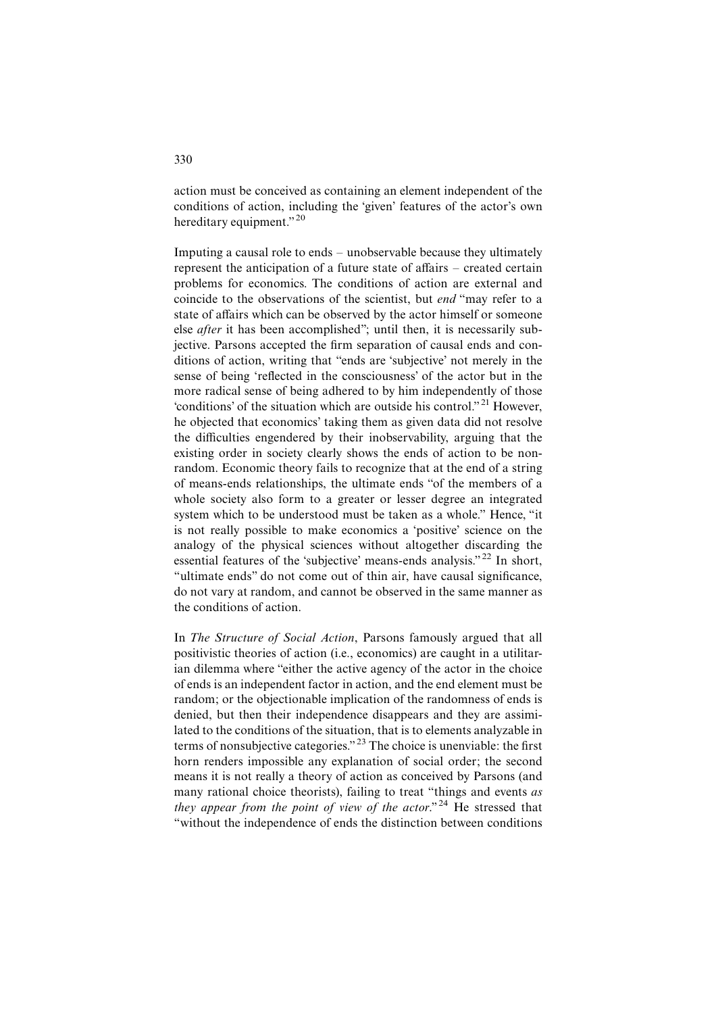action must be conceived as containing an element independent of the conditions of action, including the 'given' features of the actor's own hereditary equipment."<sup>20</sup>

Imputing a causal role to ends  $-$  unobservable because they ultimately represent the anticipation of a future state of affairs  $-$  created certain problems for economics. The conditions of action are external and coincide to the observations of the scientist, but end ''may refer to a state of affairs which can be observed by the actor himself or someone else after it has been accomplished''; until then, it is necessarily subjective. Parsons accepted the firm separation of causal ends and conditions of action, writing that ''ends are 'subjective' not merely in the sense of being 'reflected in the consciousness' of the actor but in the more radical sense of being adhered to by him independently of those 'conditions' of the situation which are outside his control."<sup>21</sup> However, he objected that economics' taking them as given data did not resolve the difficulties engendered by their inobservability, arguing that the existing order in society clearly shows the ends of action to be nonrandom. Economic theory fails to recognize that at the end of a string of means-ends relationships, the ultimate ends ''of the members of a whole society also form to a greater or lesser degree an integrated system which to be understood must be taken as a whole.'' Hence, ''it is not really possible to make economics a 'positive' science on the analogy of the physical sciences without altogether discarding the essential features of the 'subjective' means-ends analysis."<sup>22</sup> In short, ''ultimate ends'' do not come out of thin air, have causal signi¢cance, do not vary at random, and cannot be observed in the same manner as the conditions of action.

In The Structure of Social Action, Parsons famously argued that all positivistic theories of action (i.e., economics) are caught in a utilitarian dilemma where ''either the active agency of the actor in the choice of ends is an independent factor in action, and the end element must be random; or the objectionable implication of the randomness of ends is denied, but then their independence disappears and they are assimilated to the conditions of the situation, that is to elements analyzable in terms of nonsubjective categories."<sup>23</sup> The choice is unenviable: the first horn renders impossible any explanation of social order; the second means it is not really a theory of action as conceived by Parsons (and many rational choice theorists), failing to treat ''things and events as they appear from the point of view of the actor."<sup>24</sup> He stressed that ''without the independence of ends the distinction between conditions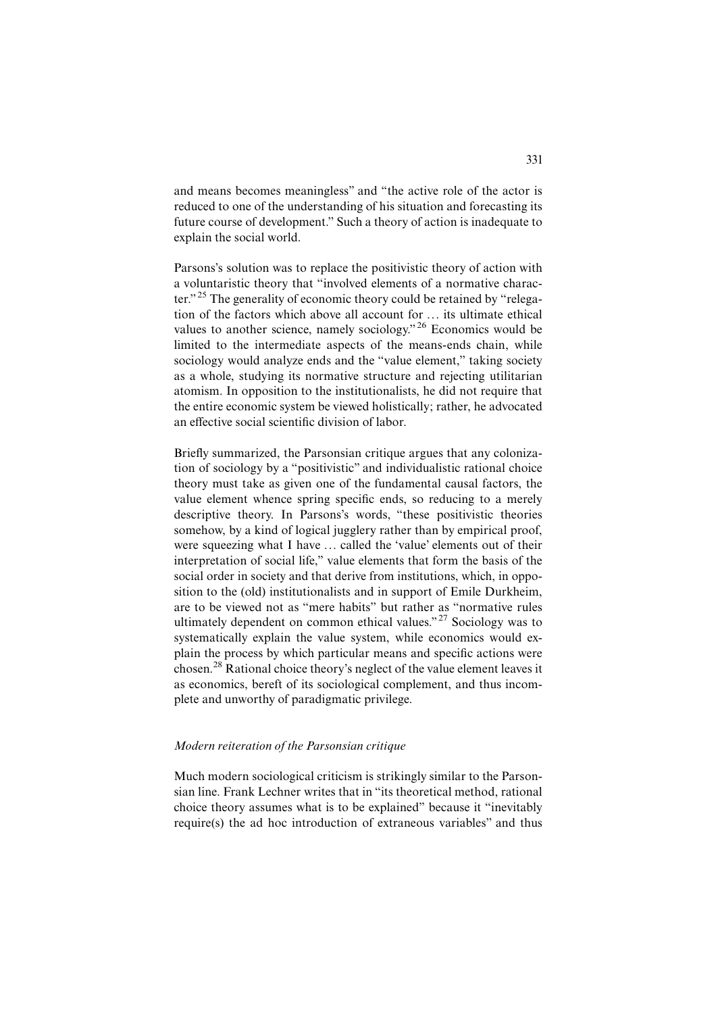and means becomes meaningless'' and ''the active role of the actor is reduced to one of the understanding of his situation and forecasting its future course of development.'' Such a theory of action is inadequate to explain the social world.

Parsons's solution was to replace the positivistic theory of action with a voluntaristic theory that ''involved elements of a normative character."<sup>25</sup> The generality of economic theory could be retained by "relegation of the factors which above all account for ... its ultimate ethical values to another science, namely sociology."<sup>26</sup> Economics would be limited to the intermediate aspects of the means-ends chain, while sociology would analyze ends and the "value element," taking society as a whole, studying its normative structure and rejecting utilitarian atomism. In opposition to the institutionalists, he did not require that the entire economic system be viewed holistically; rather, he advocated an effective social scientific division of labor.

Briefly summarized, the Parsonsian critique argues that any colonization of sociology by a ''positivistic'' and individualistic rational choice theory must take as given one of the fundamental causal factors, the value element whence spring specific ends, so reducing to a merely descriptive theory. In Parsons's words, ''these positivistic theories somehow, by a kind of logical jugglery rather than by empirical proof, were squeezing what I have ... called the 'value' elements out of their interpretation of social life,'' value elements that form the basis of the social order in society and that derive from institutions, which, in opposition to the (old) institutionalists and in support of Emile Durkheim, are to be viewed not as ''mere habits'' but rather as ''normative rules ultimately dependent on common ethical values."<sup>27</sup> Sociology was to systematically explain the value system, while economics would explain the process by which particular means and specific actions were chosen.<sup>28</sup> Rational choice theory's neglect of the value element leaves it as economics, bereft of its sociological complement, and thus incomplete and unworthy of paradigmatic privilege.

# Modern reiteration of the Parsonsian critique

Much modern sociological criticism is strikingly similar to the Parsonsian line. Frank Lechner writes that in ''its theoretical method, rational choice theory assumes what is to be explained'' because it ''inevitably require(s) the ad hoc introduction of extraneous variables'' and thus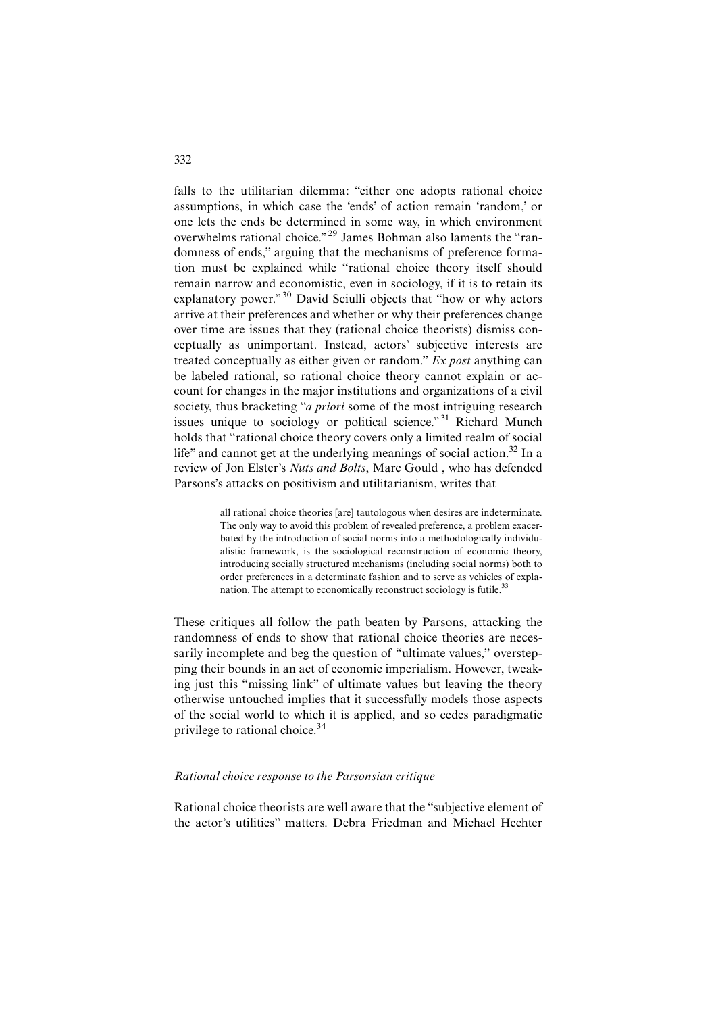falls to the utilitarian dilemma: "either one adopts rational choice assumptions, in which case the 'ends' of action remain 'random,' or one lets the ends be determined in some way, in which environment overwhelms rational choice."<sup>29</sup> James Bohman also laments the "randomness of ends,'' arguing that the mechanisms of preference formation must be explained while ''rational choice theory itself should remain narrow and economistic, even in sociology, if it is to retain its explanatory power."<sup>30</sup> David Sciulli objects that "how or why actors arrive at their preferences and whether or why their preferences change over time are issues that they (rational choice theorists) dismiss conceptually as unimportant. Instead, actors' subjective interests are treated conceptually as either given or random." Ex post anything can be labeled rational, so rational choice theory cannot explain or account for changes in the major institutions and organizations of a civil society, thus bracketing "*a priori* some of the most intriguing research issues unique to sociology or political science."<sup>31</sup> Richard Munch holds that ''rational choice theory covers only a limited realm of social life" and cannot get at the underlying meanings of social action.<sup>32</sup> In a review of Jon Elster's Nuts and Bolts, Marc Gould , who has defended Parsons's attacks on positivism and utilitarianism, writes that

> all rational choice theories [are] tautologous when desires are indeterminate. The only way to avoid this problem of revealed preference, a problem exacerbated by the introduction of social norms into a methodologically individualistic framework, is the sociological reconstruction of economic theory, introducing socially structured mechanisms (including social norms) both to order preferences in a determinate fashion and to serve as vehicles of explanation. The attempt to economically reconstruct sociology is futile.<sup>33</sup>

These critiques all follow the path beaten by Parsons, attacking the randomness of ends to show that rational choice theories are necessarily incomplete and beg the question of ''ultimate values,'' overstepping their bounds in an act of economic imperialism. However, tweaking just this ''missing link'' of ultimate values but leaving the theory otherwise untouched implies that it successfully models those aspects of the social world to which it is applied, and so cedes paradigmatic privilege to rational choice.<sup>34</sup>

#### Rational choice response to the Parsonsian critique

Rational choice theorists are well aware that the ''subjective element of the actor's utilities'' matters. Debra Friedman and Michael Hechter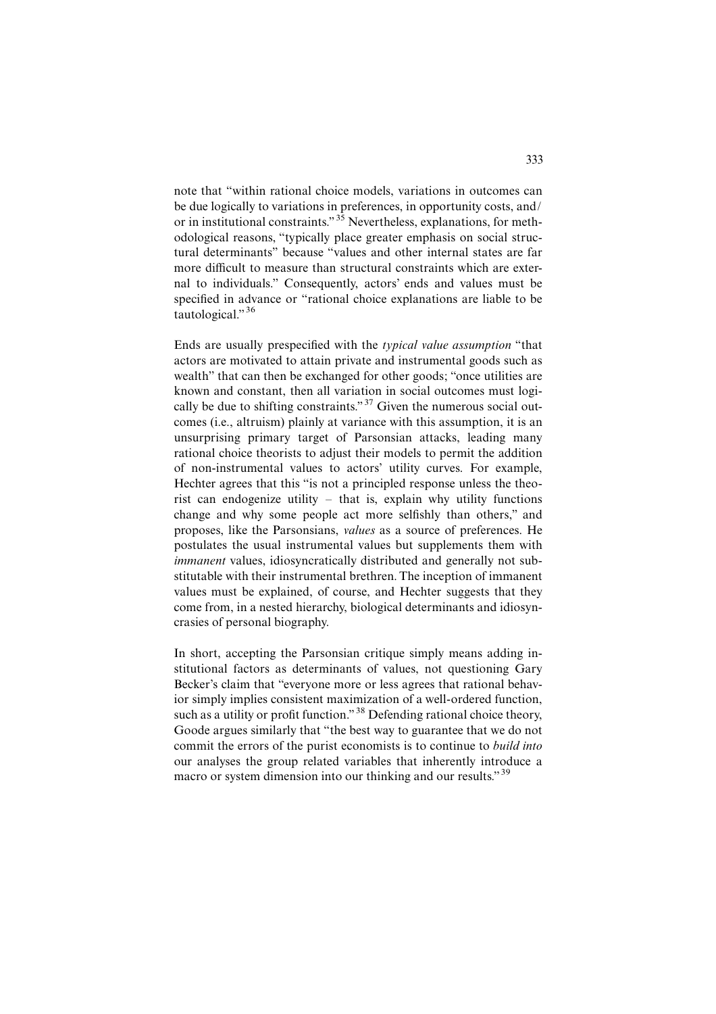note that ''within rational choice models, variations in outcomes can be due logically to variations in preferences, in opportunity costs, and/ or in institutional constraints."  $3\overline{5}$  Nevertheless, explanations, for methodological reasons, ''typically place greater emphasis on social structural determinants'' because ''values and other internal states are far more difficult to measure than structural constraints which are external to individuals.'' Consequently, actors' ends and values must be specified in advance or "rational choice explanations are liable to be tautological."<sup>36</sup>

Ends are usually prespecified with the *typical value assumption* "that actors are motivated to attain private and instrumental goods such as wealth'' that can then be exchanged for other goods; ''once utilities are known and constant, then all variation in social outcomes must logically be due to shifting constraints."<sup>37</sup> Given the numerous social outcomes (i.e., altruism) plainly at variance with this assumption, it is an unsurprising primary target of Parsonsian attacks, leading many rational choice theorists to adjust their models to permit the addition of non-instrumental values to actors' utility curves. For example, Hechter agrees that this ''is not a principled response unless the theorist can endogenize utility  $-$  that is, explain why utility functions change and why some people act more selfishly than others," and proposes, like the Parsonsians, values as a source of preferences. He postulates the usual instrumental values but supplements them with immanent values, idiosyncratically distributed and generally not substitutable with their instrumental brethren. The inception of immanent values must be explained, of course, and Hechter suggests that they come from, in a nested hierarchy, biological determinants and idiosyncrasies of personal biography.

In short, accepting the Parsonsian critique simply means adding institutional factors as determinants of values, not questioning Gary Becker's claim that ''everyone more or less agrees that rational behavior simply implies consistent maximization of a well-ordered function, such as a utility or profit function."<sup>38</sup> Defending rational choice theory, Goode argues similarly that ''the best way to guarantee that we do not commit the errors of the purist economists is to continue to build into our analyses the group related variables that inherently introduce a macro or system dimension into our thinking and our results."<sup>39</sup>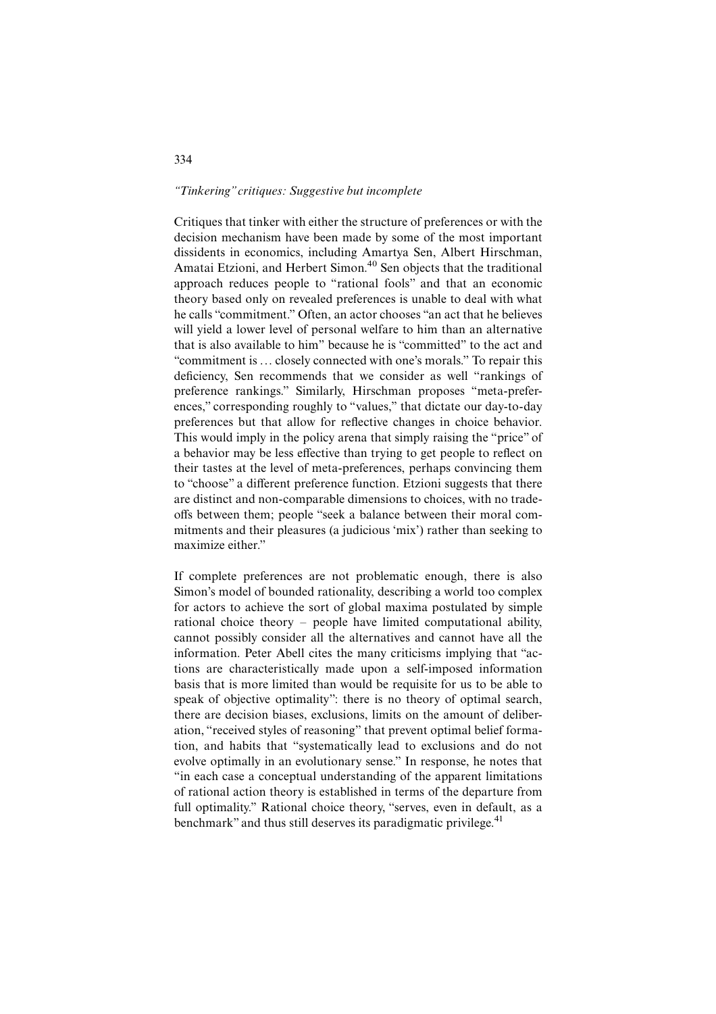## ''Tinkering'' critiques: Suggestive but incomplete

Critiques that tinker with either the structure of preferences or with the decision mechanism have been made by some of the most important dissidents in economics, including Amartya Sen, Albert Hirschman, Amatai Etzioni, and Herbert Simon.<sup>40</sup> Sen objects that the traditional approach reduces people to ''rational fools'' and that an economic theory based only on revealed preferences is unable to deal with what he calls ''commitment.'' Often, an actor chooses ''an act that he believes will yield a lower level of personal welfare to him than an alternative that is also available to him'' because he is ''committed'' to the act and "commitment is ... closely connected with one's morals." To repair this deficiency, Sen recommends that we consider as well "rankings of preference rankings.'' Similarly, Hirschman proposes ''meta-preferences,'' corresponding roughly to ''values,'' that dictate our day-to-day preferences but that allow for reflective changes in choice behavior. This would imply in the policy arena that simply raising the ''price'' of a behavior may be less effective than trying to get people to reflect on their tastes at the level of meta-preferences, perhaps convincing them to "choose" a different preference function. Etzioni suggests that there are distinct and non-comparable dimensions to choices, with no tradeoffs between them; people "seek a balance between their moral commitments and their pleasures (a judicious 'mix') rather than seeking to maximize either.''

If complete preferences are not problematic enough, there is also Simon's model of bounded rationality, describing a world too complex for actors to achieve the sort of global maxima postulated by simple rational choice theory - people have limited computational ability, cannot possibly consider all the alternatives and cannot have all the information. Peter Abell cites the many criticisms implying that ''actions are characteristically made upon a self-imposed information basis that is more limited than would be requisite for us to be able to speak of objective optimality'': there is no theory of optimal search, there are decision biases, exclusions, limits on the amount of deliberation, "received styles of reasoning" that prevent optimal belief formation, and habits that ''systematically lead to exclusions and do not evolve optimally in an evolutionary sense.'' In response, he notes that ''in each case a conceptual understanding of the apparent limitations of rational action theory is established in terms of the departure from full optimality.'' Rational choice theory, ''serves, even in default, as a benchmark" and thus still deserves its paradigmatic privilege.<sup>41</sup>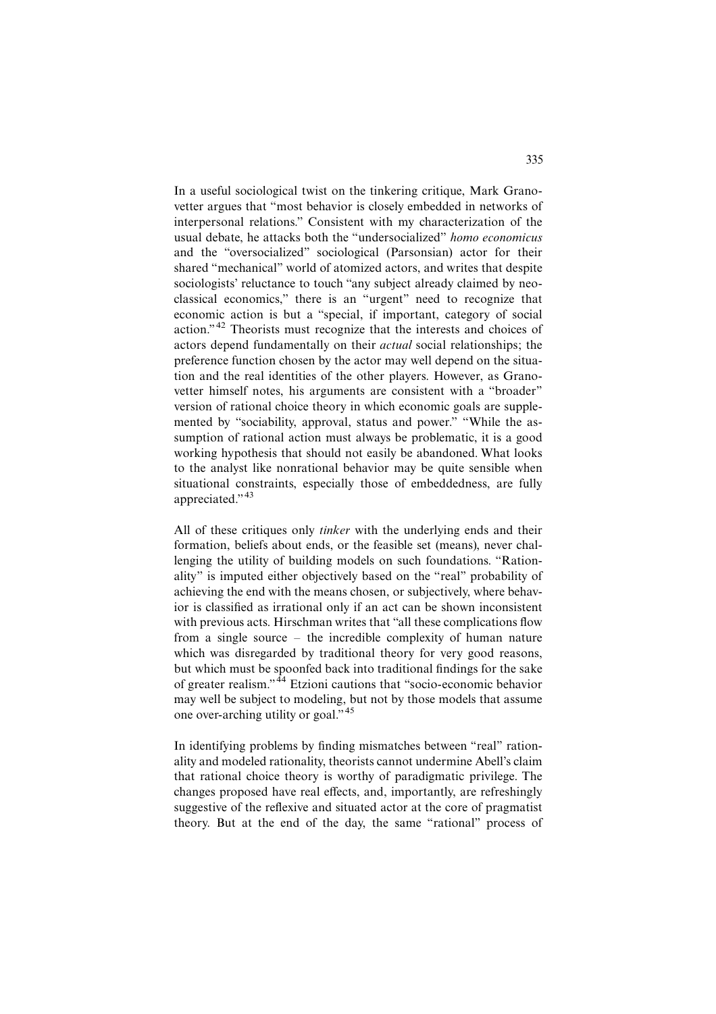In a useful sociological twist on the tinkering critique, Mark Granovetter argues that ''most behavior is closely embedded in networks of interpersonal relations.'' Consistent with my characterization of the usual debate, he attacks both the ''undersocialized'' homo economicus and the ''oversocialized'' sociological (Parsonsian) actor for their shared ''mechanical'' world of atomized actors, and writes that despite sociologists' reluctance to touch ''any subject already claimed by neoclassical economics,'' there is an ''urgent'' need to recognize that economic action is but a ''special, if important, category of social action."<sup>42</sup> Theorists must recognize that the interests and choices of actors depend fundamentally on their actual social relationships; the preference function chosen by the actor may well depend on the situation and the real identities of the other players. However, as Granovetter himself notes, his arguments are consistent with a ''broader'' version of rational choice theory in which economic goals are supplemented by "sociability, approval, status and power." "While the assumption of rational action must always be problematic, it is a good working hypothesis that should not easily be abandoned. What looks to the analyst like nonrational behavior may be quite sensible when situational constraints, especially those of embeddedness, are fully appreciated."<sup>43</sup>

All of these critiques only *tinker* with the underlying ends and their formation, beliefs about ends, or the feasible set (means), never challenging the utility of building models on such foundations. ''Rationality'' is imputed either objectively based on the ''real'' probability of achieving the end with the means chosen, or subjectively, where behavior is classified as irrational only if an act can be shown inconsistent with previous acts. Hirschman writes that "all these complications flow from a single source  $-$  the incredible complexity of human nature which was disregarded by traditional theory for very good reasons, but which must be spoonfed back into traditional findings for the sake of greater realism."<sup>44</sup> Etzioni cautions that "socio-economic behavior may well be subject to modeling, but not by those models that assume one over-arching utility or goal.'' <sup>45</sup>

In identifying problems by finding mismatches between "real" rationality and modeled rationality, theorists cannot undermine Abell's claim that rational choice theory is worthy of paradigmatic privilege. The changes proposed have real effects, and, importantly, are refreshingly suggestive of the reflexive and situated actor at the core of pragmatist theory. But at the end of the day, the same ''rational'' process of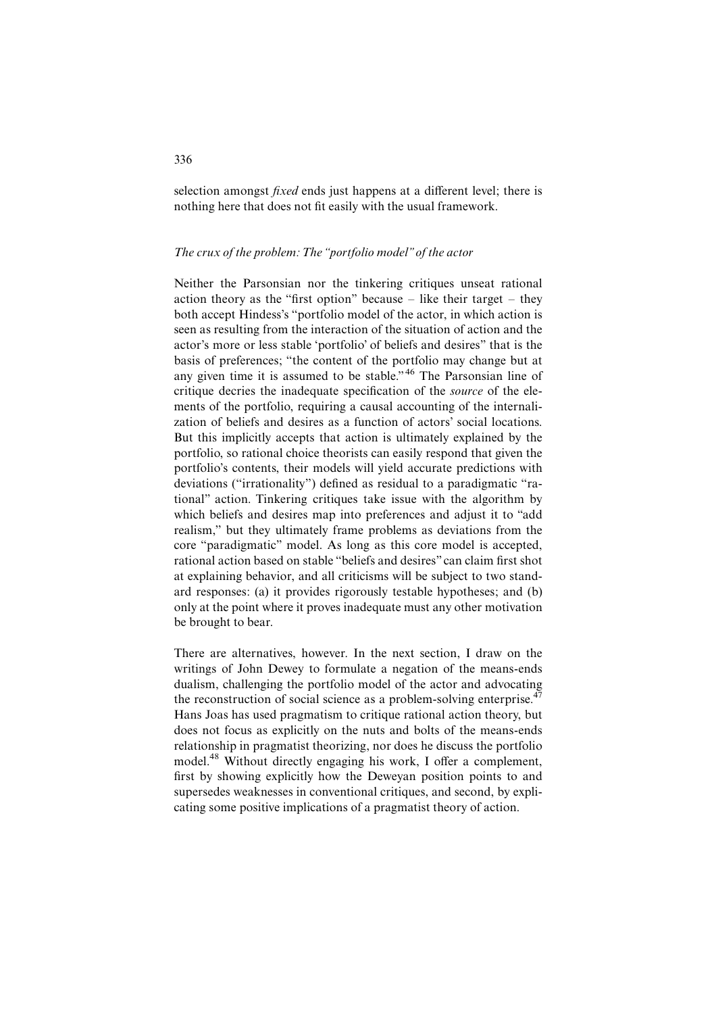selection amongst *fixed* ends just happens at a different level; there is nothing here that does not fit easily with the usual framework.

## The crux of the problem: The ''portfolio model'' of the actor

Neither the Parsonsian nor the tinkering critiques unseat rational action theory as the "first option" because  $-$  like their target  $-$  they both accept Hindess's ''portfolio model of the actor, in which action is seen as resulting from the interaction of the situation of action and the actor's more or less stable 'portfolio' of beliefs and desires'' that is the basis of preferences; ''the content of the portfolio may change but at any given time it is assumed to be stable."<sup>46</sup> The Parsonsian line of critique decries the inadequate specification of the *source* of the elements of the portfolio, requiring a causal accounting of the internalization of beliefs and desires as a function of actors' social locations. But this implicitly accepts that action is ultimately explained by the portfolio, so rational choice theorists can easily respond that given the portfolio's contents, their models will yield accurate predictions with deviations ("irrationality") defined as residual to a paradigmatic "rational'' action. Tinkering critiques take issue with the algorithm by which beliefs and desires map into preferences and adjust it to "add realism,'' but they ultimately frame problems as deviations from the core ''paradigmatic'' model. As long as this core model is accepted, rational action based on stable "beliefs and desires" can claim first shot at explaining behavior, and all criticisms will be subject to two standard responses: (a) it provides rigorously testable hypotheses; and (b) only at the point where it proves inadequate must any other motivation be brought to bear.

There are alternatives, however. In the next section, I draw on the writings of John Dewey to formulate a negation of the means-ends dualism, challenging the portfolio model of the actor and advocating the reconstruction of social science as a problem-solving enterprise.<sup> $47$ </sup> Hans Joas has used pragmatism to critique rational action theory, but does not focus as explicitly on the nuts and bolts of the means-ends relationship in pragmatist theorizing, nor does he discuss the portfolio model.<sup>48</sup> Without directly engaging his work, I offer a complement, first by showing explicitly how the Deweyan position points to and supersedes weaknesses in conventional critiques, and second, by explicating some positive implications of a pragmatist theory of action.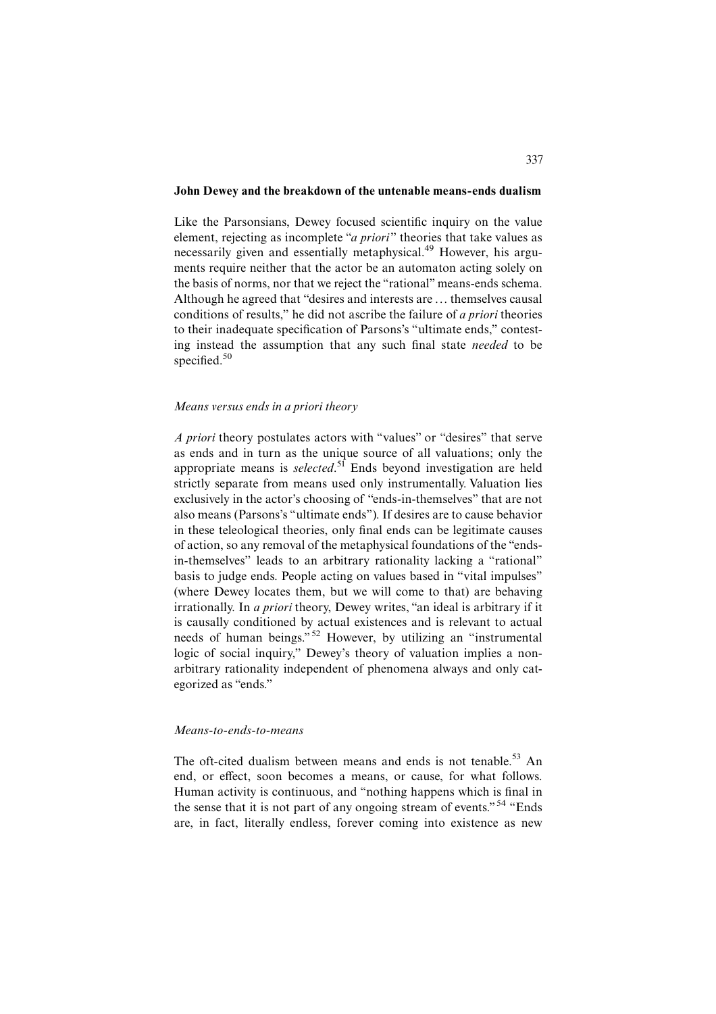#### John Dewey and the breakdown of the untenable means-ends dualism

Like the Parsonsians, Dewey focused scientific inquiry on the value element, rejecting as incomplete "*a priori*" theories that take values as necessarily given and essentially metaphysical.49 However, his arguments require neither that the actor be an automaton acting solely on the basis of norms, nor that we reject the ''rational'' means-ends schema. Although he agreed that ''desires and interests are ... themselves causal conditions of results,'' he did not ascribe the failure of a priori theories to their inadequate specification of Parsons's "ultimate ends," contesting instead the assumption that any such final state *needed* to be specified. $50$ 

#### Means versus ends in a priori theory

A priori theory postulates actors with ''values'' or ''desires'' that serve as ends and in turn as the unique source of all valuations; only the appropriate means is *selected*.<sup>51</sup> Ends beyond investigation are held strictly separate from means used only instrumentally. Valuation lies exclusively in the actor's choosing of ''ends-in-themselves'' that are not also means (Parsons's ''ultimate ends''). If desires are to cause behavior in these teleological theories, only final ends can be legitimate causes of action, so any removal of the metaphysical foundations of the ''endsin-themselves'' leads to an arbitrary rationality lacking a ''rational'' basis to judge ends. People acting on values based in ''vital impulses'' (where Dewey locates them, but we will come to that) are behaving irrationally. In *a priori* theory, Dewey writes, "an ideal is arbitrary if it is causally conditioned by actual existences and is relevant to actual needs of human beings."<sup>52</sup> However, by utilizing an "instrumental logic of social inquiry,'' Dewey's theory of valuation implies a nonarbitrary rationality independent of phenomena always and only categorized as ''ends.''

## Means-to-ends-to-means

The oft-cited dualism between means and ends is not tenable.<sup>53</sup> An end, or effect, soon becomes a means, or cause, for what follows. Human activity is continuous, and "nothing happens which is final in the sense that it is not part of any ongoing stream of events."<sup>54</sup> "Ends" are, in fact, literally endless, forever coming into existence as new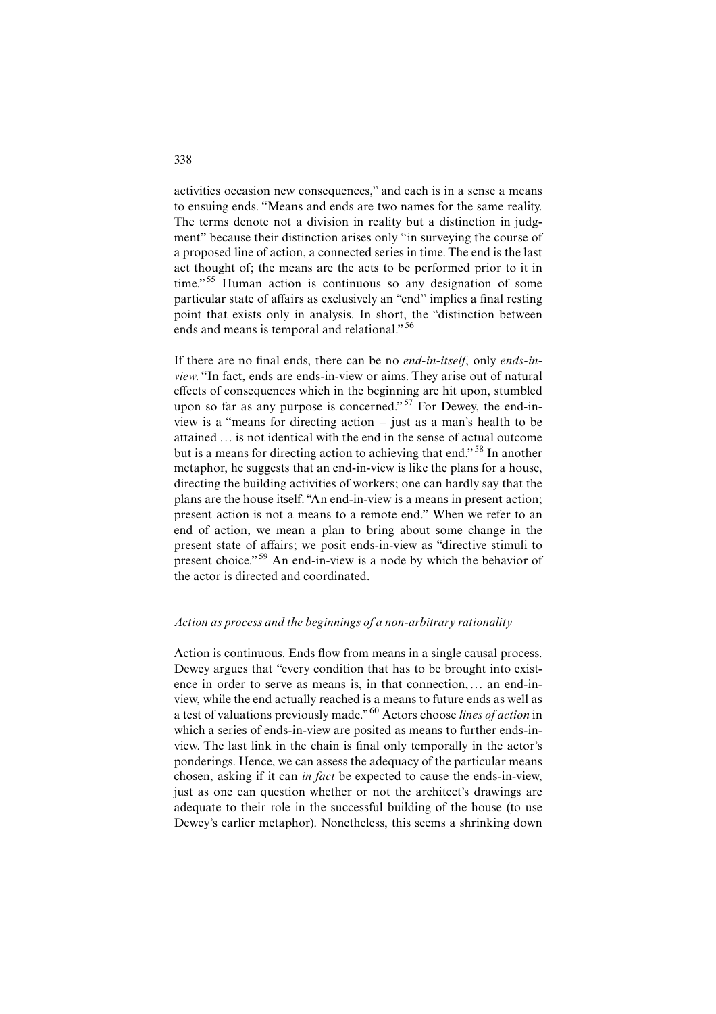activities occasion new consequences,'' and each is in a sense a means to ensuing ends. ''Means and ends are two names for the same reality. The terms denote not a division in reality but a distinction in judgment'' because their distinction arises only ''in surveying the course of a proposed line of action, a connected series in time. The end is the last act thought of; the means are the acts to be performed prior to it in time."<sup>55</sup> Human action is continuous so any designation of some particular state of affairs as exclusively an "end" implies a final resting point that exists only in analysis. In short, the ''distinction between ends and means is temporal and relational."<sup>56</sup>

If there are no final ends, there can be no *end-in-itself*, only *ends-in*view. ''In fact, ends are ends-in-view or aims. They arise out of natural effects of consequences which in the beginning are hit upon, stumbled upon so far as any purpose is concerned."<sup>57</sup> For Dewey, the end-inview is a "means for directing action  $-$  just as a man's health to be attained ... is not identical with the end in the sense of actual outcome but is a means for directing action to achieving that end."<sup>58</sup> In another metaphor, he suggests that an end-in-view is like the plans for a house, directing the building activities of workers; one can hardly say that the plans are the house itself.''An end-in-view is a means in present action; present action is not a means to a remote end.'' When we refer to an end of action, we mean a plan to bring about some change in the present state of affairs; we posit ends-in-view as "directive stimuli to present choice."<sup>59</sup> An end-in-view is a node by which the behavior of the actor is directed and coordinated.

#### Action as process and the beginnings of a non-arbitrary rationality

Action is continuous. Ends flow from means in a single causal process. Dewey argues that ''every condition that has to be brought into existence in order to serve as means is, in that connection, ... an end-inview, while the end actually reached is a means to future ends as well as a test of valuations previously made.'' <sup>60</sup> Actors choose lines of action in which a series of ends-in-view are posited as means to further ends-inview. The last link in the chain is final only temporally in the actor's ponderings. Hence, we can assess the adequacy of the particular means chosen, asking if it can in fact be expected to cause the ends-in-view, just as one can question whether or not the architect's drawings are adequate to their role in the successful building of the house (to use Dewey's earlier metaphor). Nonetheless, this seems a shrinking down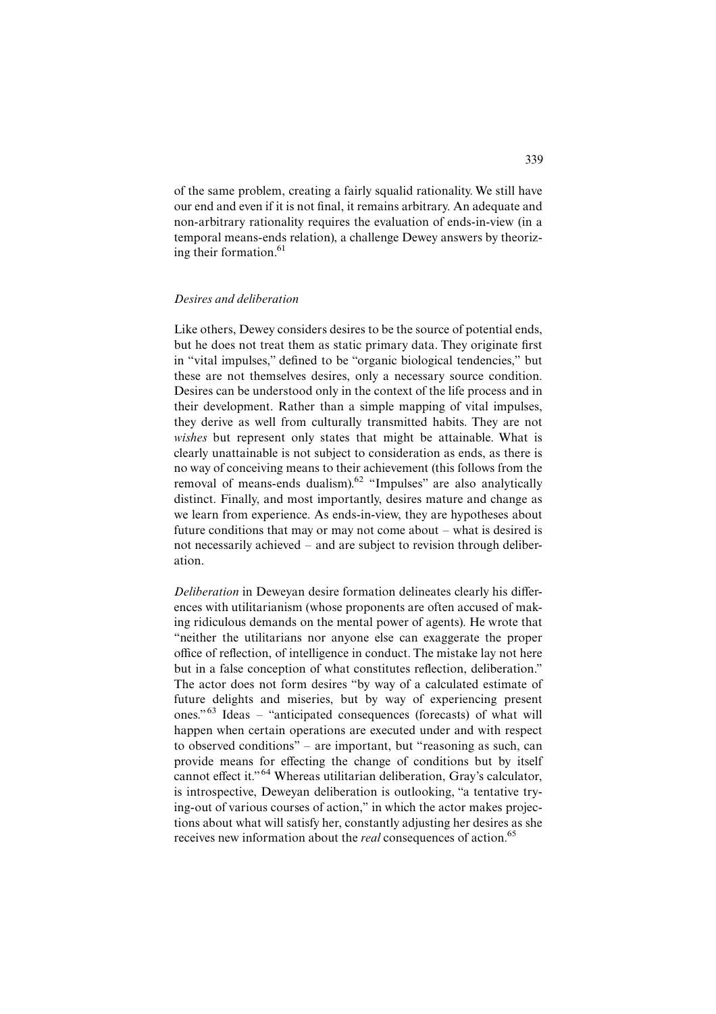of the same problem, creating a fairly squalid rationality. We still have our end and even if it is not final, it remains arbitrary. An adequate and non-arbitrary rationality requires the evaluation of ends-in-view (in a temporal means-ends relation), a challenge Dewey answers by theorizing their formation.<sup>61</sup>

# Desires and deliberation

Like others, Dewey considers desires to be the source of potential ends, but he does not treat them as static primary data. They originate first in "vital impulses," defined to be "organic biological tendencies," but these are not themselves desires, only a necessary source condition. Desires can be understood only in the context of the life process and in their development. Rather than a simple mapping of vital impulses, they derive as well from culturally transmitted habits. They are not wishes but represent only states that might be attainable. What is clearly unattainable is not subject to consideration as ends, as there is no way of conceiving means to their achievement (this follows from the removal of means-ends dualism). $62$  "Impulses" are also analytically distinct. Finally, and most importantly, desires mature and change as we learn from experience. As ends-in-view, they are hypotheses about future conditions that may or may not come about  $-$  what is desired is not necessarily achieved ^ and are subject to revision through deliberation.

Deliberation in Deweyan desire formation delineates clearly his differences with utilitarianism (whose proponents are often accused of making ridiculous demands on the mental power of agents). He wrote that ''neither the utilitarians nor anyone else can exaggerate the proper office of reflection, of intelligence in conduct. The mistake lay not here but in a false conception of what constitutes reflection, deliberation." The actor does not form desires ''by way of a calculated estimate of future delights and miseries, but by way of experiencing present ones."  $63$  Ideas – "anticipated consequences (forecasts) of what will happen when certain operations are executed under and with respect to observed conditions" - are important, but "reasoning as such, can provide means for effecting the change of conditions but by itself cannot effect it."<sup>64</sup> Whereas utilitarian deliberation, Gray's calculator, is introspective, Deweyan deliberation is outlooking, "a tentative trying-out of various courses of action," in which the actor makes projections about what will satisfy her, constantly adjusting her desires as she receives new information about the *real* consequences of action.<sup>65</sup>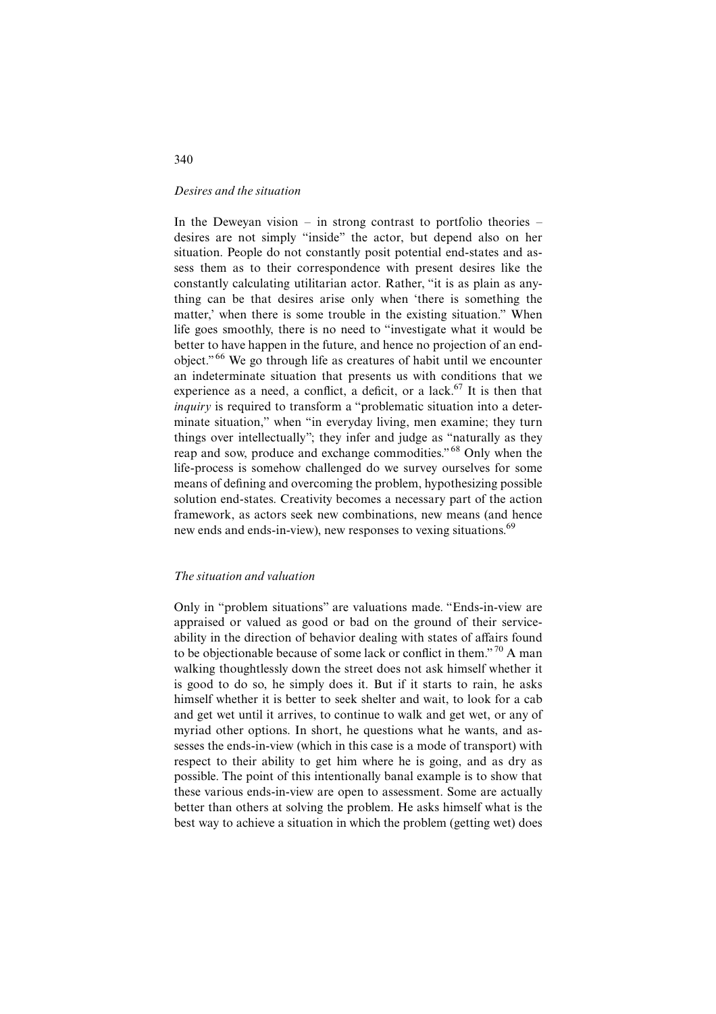# Desires and the situation

In the Deweyan vision  $-$  in strong contrast to portfolio theories  $$ desires are not simply ''inside'' the actor, but depend also on her situation. People do not constantly posit potential end-states and assess them as to their correspondence with present desires like the constantly calculating utilitarian actor. Rather, ''it is as plain as anything can be that desires arise only when 'there is something the matter,' when there is some trouble in the existing situation." When life goes smoothly, there is no need to ''investigate what it would be better to have happen in the future, and hence no projection of an endobject.'' <sup>66</sup> We go through life as creatures of habit until we encounter an indeterminate situation that presents us with conditions that we experience as a need, a conflict, a deficit, or a lack.<sup>67</sup> It is then that inquiry is required to transform a "problematic situation into a determinate situation," when "in everyday living, men examine; they turn things over intellectually''; they infer and judge as ''naturally as they reap and sow, produce and exchange commodities."<sup>68</sup> Only when the life-process is somehow challenged do we survey ourselves for some means of defining and overcoming the problem, hypothesizing possible solution end-states. Creativity becomes a necessary part of the action framework, as actors seek new combinations, new means (and hence new ends and ends-in-view), new responses to vexing situations.<sup>69</sup>

## The situation and valuation

Only in ''problem situations'' are valuations made. ''Ends-in-view are appraised or valued as good or bad on the ground of their serviceability in the direction of behavior dealing with states of affairs found to be objectionable because of some lack or conflict in them. $170$  A man walking thoughtlessly down the street does not ask himself whether it is good to do so, he simply does it. But if it starts to rain, he asks himself whether it is better to seek shelter and wait, to look for a cab and get wet until it arrives, to continue to walk and get wet, or any of myriad other options. In short, he questions what he wants, and assesses the ends-in-view (which in this case is a mode of transport) with respect to their ability to get him where he is going, and as dry as possible. The point of this intentionally banal example is to show that these various ends-in-view are open to assessment. Some are actually better than others at solving the problem. He asks himself what is the best way to achieve a situation in which the problem (getting wet) does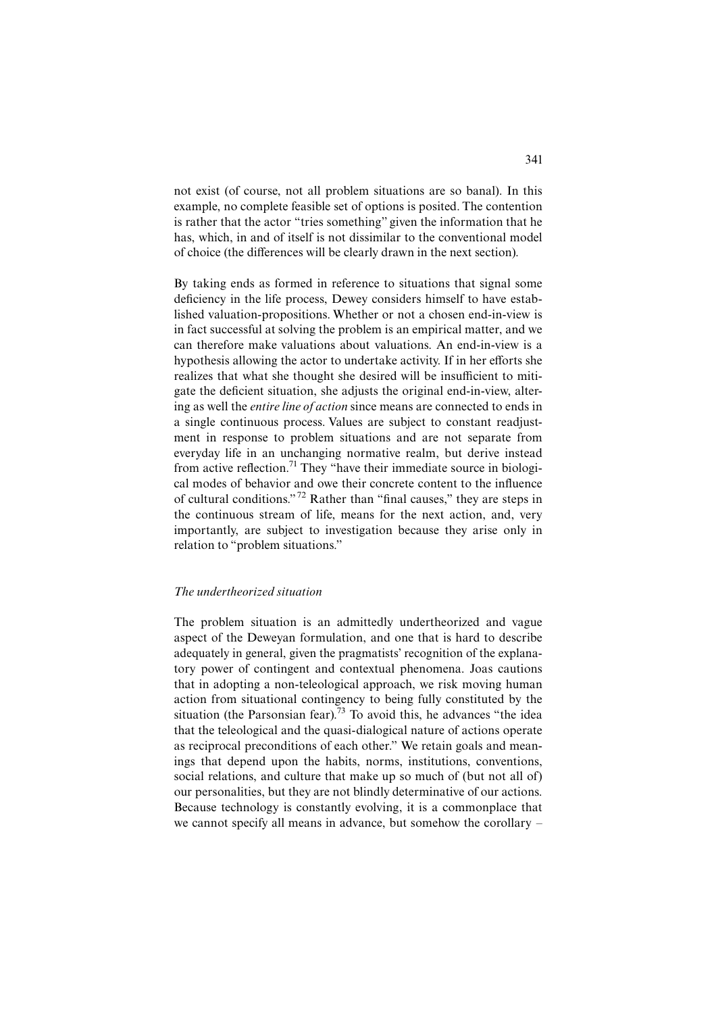not exist (of course, not all problem situations are so banal). In this example, no complete feasible set of options is posited. The contention is rather that the actor ''tries something'' given the information that he has, which, in and of itself is not dissimilar to the conventional model of choice (the differences will be clearly drawn in the next section).

By taking ends as formed in reference to situations that signal some deficiency in the life process, Dewey considers himself to have established valuation-propositions. Whether or not a chosen end-in-view is in fact successful at solving the problem is an empirical matter, and we can therefore make valuations about valuations. An end-in-view is a hypothesis allowing the actor to undertake activity. If in her efforts she realizes that what she thought she desired will be insufficient to mitigate the deficient situation, she adjusts the original end-in-view, altering as well the entire line of action since means are connected to ends in a single continuous process. Values are subject to constant readjustment in response to problem situations and are not separate from everyday life in an unchanging normative realm, but derive instead from active reflection.<sup>71</sup> They "have their immediate source in biological modes of behavior and owe their concrete content to the influence of cultural conditions."<sup>72</sup> Rather than "final causes," they are steps in the continuous stream of life, means for the next action, and, very importantly, are subject to investigation because they arise only in relation to ''problem situations.''

## The undertheorized situation

The problem situation is an admittedly undertheorized and vague aspect of the Deweyan formulation, and one that is hard to describe adequately in general, given the pragmatists' recognition of the explanatory power of contingent and contextual phenomena. Joas cautions that in adopting a non-teleological approach, we risk moving human action from situational contingency to being fully constituted by the situation (the Parsonsian fear).<sup>73</sup> To avoid this, he advances "the idea that the teleological and the quasi-dialogical nature of actions operate as reciprocal preconditions of each other.'' We retain goals and meanings that depend upon the habits, norms, institutions, conventions, social relations, and culture that make up so much of (but not all of) our personalities, but they are not blindly determinative of our actions. Because technology is constantly evolving, it is a commonplace that we cannot specify all means in advance, but somehow the corollary  $-$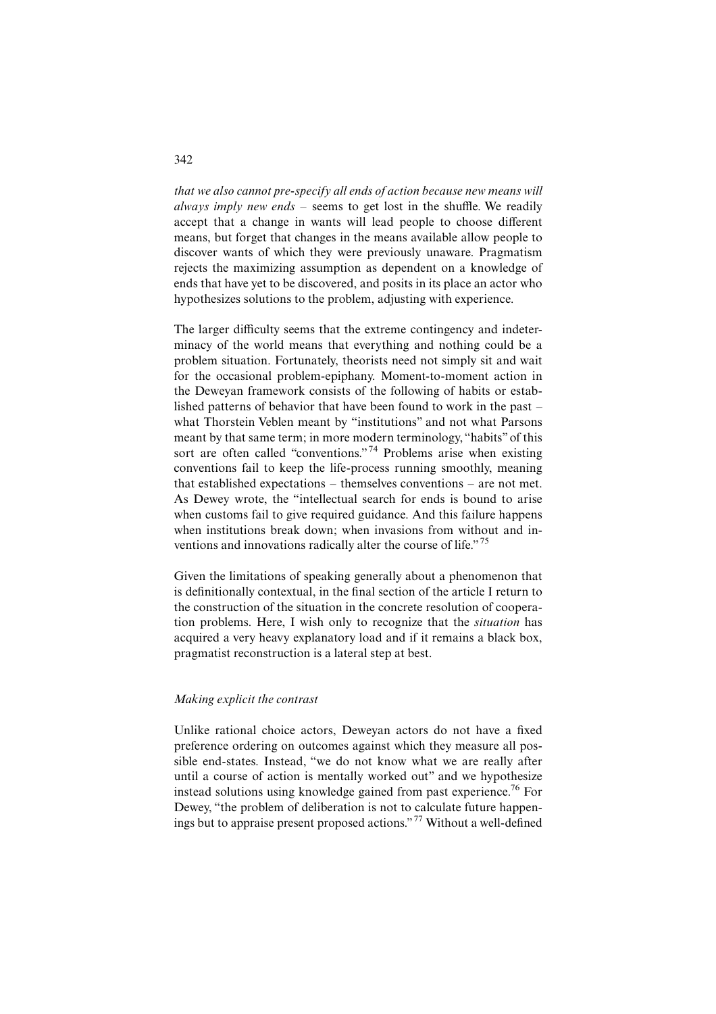that we also cannot pre-specify all ends of action because new means will always imply new ends  $-$  seems to get lost in the shuffle. We readily accept that a change in wants will lead people to choose different means, but forget that changes in the means available allow people to discover wants of which they were previously unaware. Pragmatism rejects the maximizing assumption as dependent on a knowledge of ends that have yet to be discovered, and posits in its place an actor who hypothesizes solutions to the problem, adjusting with experience.

The larger difficulty seems that the extreme contingency and indeterminacy of the world means that everything and nothing could be a problem situation. Fortunately, theorists need not simply sit and wait for the occasional problem-epiphany. Moment-to-moment action in the Deweyan framework consists of the following of habits or established patterns of behavior that have been found to work in the past ^ what Thorstein Veblen meant by "institutions" and not what Parsons meant by that same term; in more modern terminology,''habits'' of this sort are often called "conventions."<sup>74</sup> Problems arise when existing conventions fail to keep the life-process running smoothly, meaning that established expectations  $-$  themselves conventions  $-$  are not met. As Dewey wrote, the ''intellectual search for ends is bound to arise when customs fail to give required guidance. And this failure happens when institutions break down; when invasions from without and inventions and innovations radically alter the course of life."<sup>75</sup>

Given the limitations of speaking generally about a phenomenon that is definitionally contextual, in the final section of the article I return to the construction of the situation in the concrete resolution of cooperation problems. Here, I wish only to recognize that the situation has acquired a very heavy explanatory load and if it remains a black box, pragmatist reconstruction is a lateral step at best.

## Making explicit the contrast

Unlike rational choice actors, Deweyan actors do not have a fixed preference ordering on outcomes against which they measure all possible end-states. Instead, ''we do not know what we are really after until a course of action is mentally worked out'' and we hypothesize instead solutions using knowledge gained from past experience.<sup>76</sup> For Dewey, ''the problem of deliberation is not to calculate future happenings but to appraise present proposed actions."<sup>77</sup> Without a well-defined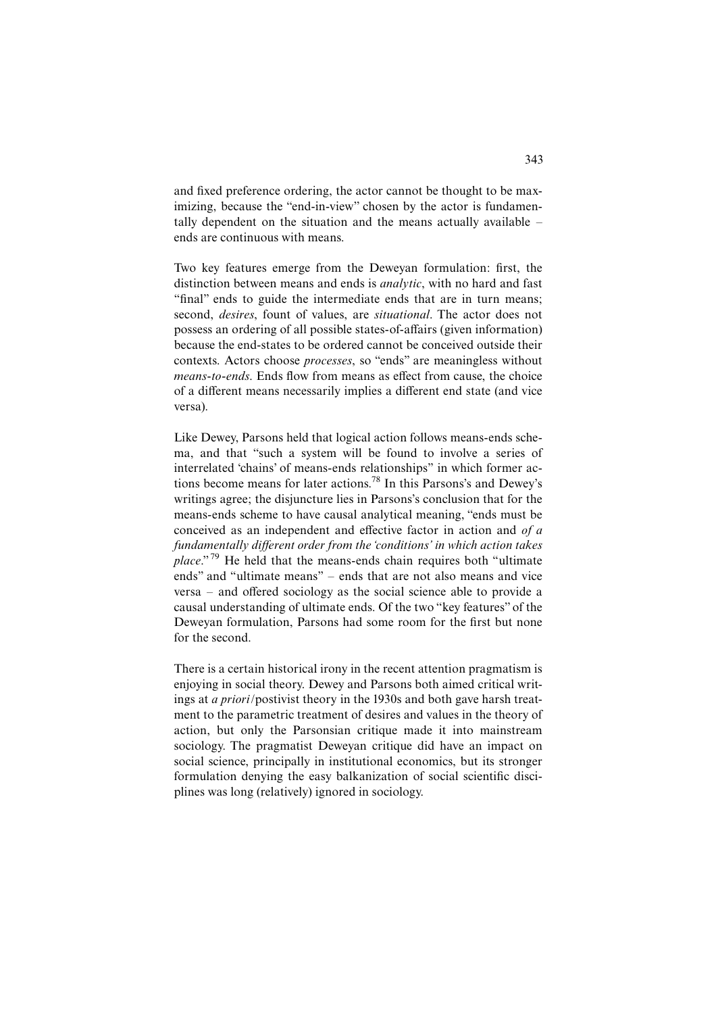and fixed preference ordering, the actor cannot be thought to be maximizing, because the "end-in-view" chosen by the actor is fundamentally dependent on the situation and the means actually available  $$ ends are continuous with means.

Two key features emerge from the Deweyan formulation: first, the distinction between means and ends is *analytic*, with no hard and fast "final" ends to guide the intermediate ends that are in turn means; second, desires, fount of values, are situational. The actor does not possess an ordering of all possible states-of-affairs (given information) because the end-states to be ordered cannot be conceived outside their contexts. Actors choose processes, so ''ends'' are meaningless without means-to-ends. Ends flow from means as effect from cause, the choice of a different means necessarily implies a different end state (and vice versa).

Like Dewey, Parsons held that logical action follows means-ends schema, and that ''such a system will be found to involve a series of interrelated 'chains' of means-ends relationships'' in which former actions become means for later actions.78 In this Parsons's and Dewey's writings agree; the disjuncture lies in Parsons's conclusion that for the means-ends scheme to have causal analytical meaning, ''ends must be conceived as an independent and effective factor in action and of  $a$ fundamentally different order from the 'conditions' in which action takes  $place." <sup>79</sup>$  He held that the means-ends chain requires both "ultimate ends" and "ultimate means" – ends that are not also means and vice  $versa - and offered sociology as the social science able to provide a$ causal understanding of ultimate ends. Of the two ''key features'' of the Deweyan formulation, Parsons had some room for the first but none for the second.

There is a certain historical irony in the recent attention pragmatism is enjoying in social theory. Dewey and Parsons both aimed critical writings at a priori/postivist theory in the 1930s and both gave harsh treatment to the parametric treatment of desires and values in the theory of action, but only the Parsonsian critique made it into mainstream sociology. The pragmatist Deweyan critique did have an impact on social science, principally in institutional economics, but its stronger formulation denying the easy balkanization of social scientific disci-plines was long (relatively) ignored in sociology.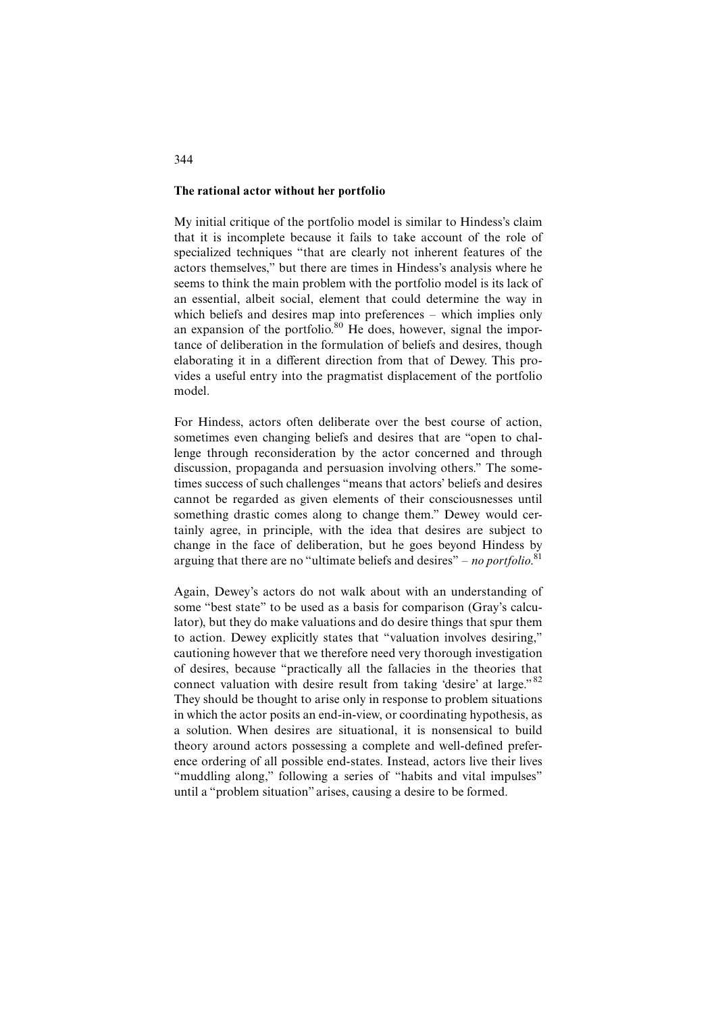## The rational actor without her portfolio

My initial critique of the portfolio model is similar to Hindess's claim that it is incomplete because it fails to take account of the role of specialized techniques ''that are clearly not inherent features of the actors themselves,'' but there are times in Hindess's analysis where he seems to think the main problem with the portfolio model is its lack of an essential, albeit social, element that could determine the way in which beliefs and desires map into preferences – which implies only an expansion of the portfolio. $80$  He does, however, signal the importance of deliberation in the formulation of beliefs and desires, though elaborating it in a different direction from that of Dewey. This provides a useful entry into the pragmatist displacement of the portfolio model.

For Hindess, actors often deliberate over the best course of action, sometimes even changing beliefs and desires that are ''open to challenge through reconsideration by the actor concerned and through discussion, propaganda and persuasion involving others.'' The sometimes success of such challenges ''means that actors' beliefs and desires cannot be regarded as given elements of their consciousnesses until something drastic comes along to change them.'' Dewey would certainly agree, in principle, with the idea that desires are subject to change in the face of deliberation, but he goes beyond Hindess by arguing that there are no "ultimate beliefs and desires" – no portfolio.<sup>81</sup>

Again, Dewey's actors do not walk about with an understanding of some ''best state'' to be used as a basis for comparison (Gray's calculator), but they do make valuations and do desire things that spur them to action. Dewey explicitly states that ''valuation involves desiring,'' cautioning however that we therefore need very thorough investigation of desires, because ''practically all the fallacies in the theories that connect valuation with desire result from taking 'desire' at large."<sup>82</sup> They should be thought to arise only in response to problem situations in which the actor posits an end-in-view, or coordinating hypothesis, as a solution. When desires are situational, it is nonsensical to build theory around actors possessing a complete and well-defined preference ordering of all possible end-states. Instead, actors live their lives ''muddling along,'' following a series of ''habits and vital impulses'' until a ''problem situation'' arises, causing a desire to be formed.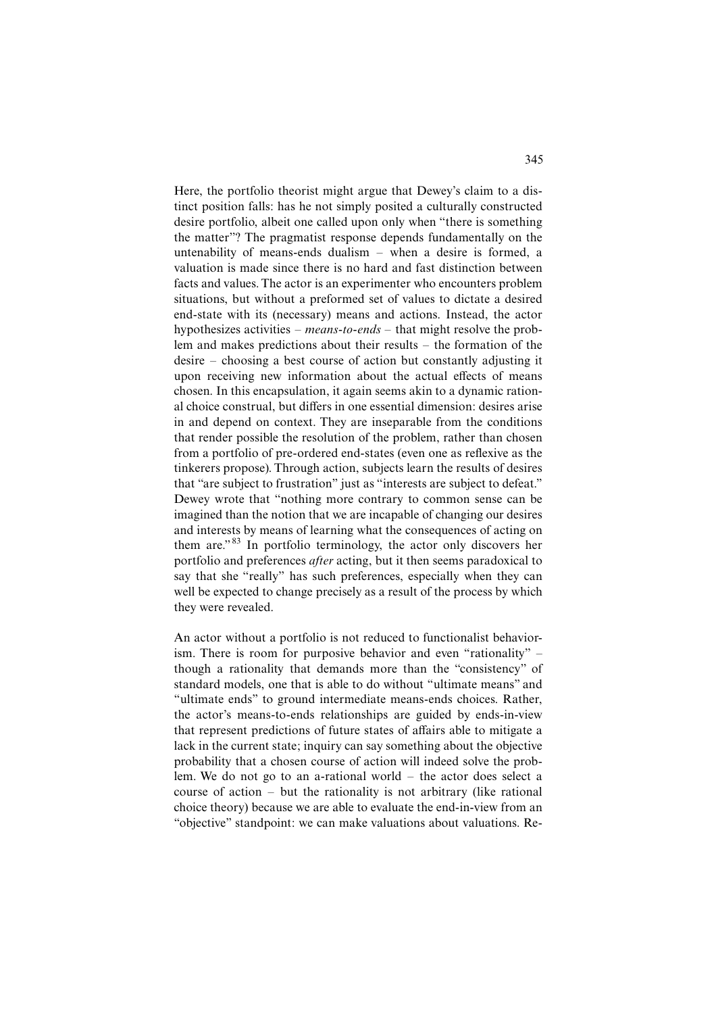Here, the portfolio theorist might argue that Dewey's claim to a distinct position falls: has he not simply posited a culturally constructed desire portfolio, albeit one called upon only when ''there is something the matter''? The pragmatist response depends fundamentally on the untenability of means-ends dualism  $-$  when a desire is formed, a valuation is made since there is no hard and fast distinction between facts and values. The actor is an experimenter who encounters problem situations, but without a preformed set of values to dictate a desired end-state with its (necessary) means and actions. Instead, the actor hypothesizes activities  $-$  means-to-ends  $-$  that might resolve the problem and makes predictions about their results ^ the formation of the  $desire - choosing a best course of action but constantly adjusting it$ upon receiving new information about the actual effects of means chosen. In this encapsulation, it again seems akin to a dynamic rational choice construal, but differs in one essential dimension: desires arise in and depend on context. They are inseparable from the conditions that render possible the resolution of the problem, rather than chosen from a portfolio of pre-ordered end-states (even one as reflexive as the tinkerers propose). Through action, subjects learn the results of desires that ''are subject to frustration'' just as ''interests are subject to defeat.'' Dewey wrote that ''nothing more contrary to common sense can be imagined than the notion that we are incapable of changing our desires and interests by means of learning what the consequences of acting on them are."<sup>83</sup> In portfolio terminology, the actor only discovers her portfolio and preferences after acting, but it then seems paradoxical to say that she "really" has such preferences, especially when they can well be expected to change precisely as a result of the process by which they were revealed.

An actor without a portfolio is not reduced to functionalist behaviorism. There is room for purposive behavior and even "rationality"  $$ though a rationality that demands more than the ''consistency'' of standard models, one that is able to do without ''ultimate means'' and ''ultimate ends'' to ground intermediate means-ends choices. Rather, the actor's means-to-ends relationships are guided by ends-in-view that represent predictions of future states of affairs able to mitigate a lack in the current state; inquiry can say something about the objective probability that a chosen course of action will indeed solve the problem. We do not go to an a-rational world  $-$  the actor does select a course of action  $-$  but the rationality is not arbitrary (like rational choice theory) because we are able to evaluate the end-in-view from an "objective" standpoint: we can make valuations about valuations. Re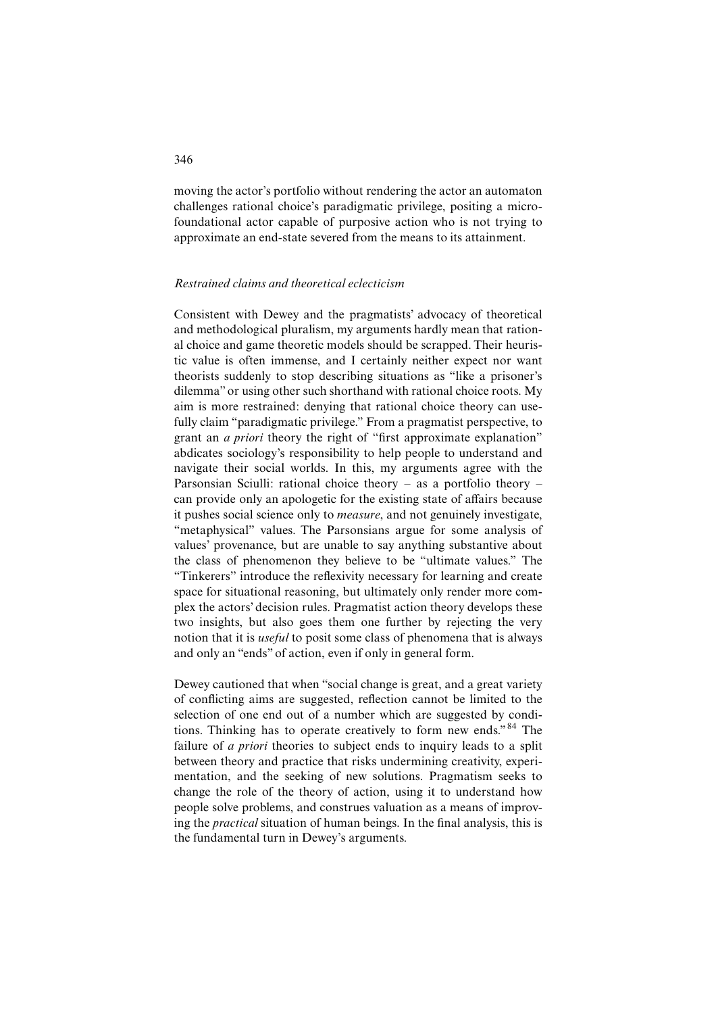moving the actor's portfolio without rendering the actor an automaton challenges rational choice's paradigmatic privilege, positing a microfoundational actor capable of purposive action who is not trying to approximate an end-state severed from the means to its attainment.

#### Restrained claims and theoretical eclecticism

Consistent with Dewey and the pragmatists' advocacy of theoretical and methodological pluralism, my arguments hardly mean that rational choice and game theoretic models should be scrapped. Their heuristic value is often immense, and I certainly neither expect nor want theorists suddenly to stop describing situations as "like a prisoner's dilemma'' or using other such shorthand with rational choice roots. My aim is more restrained: denying that rational choice theory can usefully claim ''paradigmatic privilege.'' From a pragmatist perspective, to grant an *a priori* theory the right of "first approximate explanation" abdicates sociology's responsibility to help people to understand and navigate their social worlds. In this, my arguments agree with the Parsonsian Sciulli: rational choice theory  $-$  as a portfolio theory  $$ can provide only an apologetic for the existing state of affairs because it pushes social science only to measure, and not genuinely investigate, "metaphysical" values. The Parsonsians argue for some analysis of values' provenance, but are unable to say anything substantive about the class of phenomenon they believe to be ''ultimate values.'' The ''Tinkerers'' introduce the re£exivity necessary for learning and create space for situational reasoning, but ultimately only render more complex the actors' decision rules. Pragmatist action theory develops these two insights, but also goes them one further by rejecting the very notion that it is useful to posit some class of phenomena that is always and only an ''ends'' of action, even if only in general form.

Dewey cautioned that when ''social change is great, and a great variety of conflicting aims are suggested, reflection cannot be limited to the selection of one end out of a number which are suggested by conditions. Thinking has to operate creatively to form new ends."<sup>84</sup> The failure of *a priori* theories to subject ends to inquiry leads to a split between theory and practice that risks undermining creativity, experimentation, and the seeking of new solutions. Pragmatism seeks to change the role of the theory of action, using it to understand how people solve problems, and construes valuation as a means of improving the *practical* situation of human beings. In the final analysis, this is the fundamental turn in Dewey's arguments.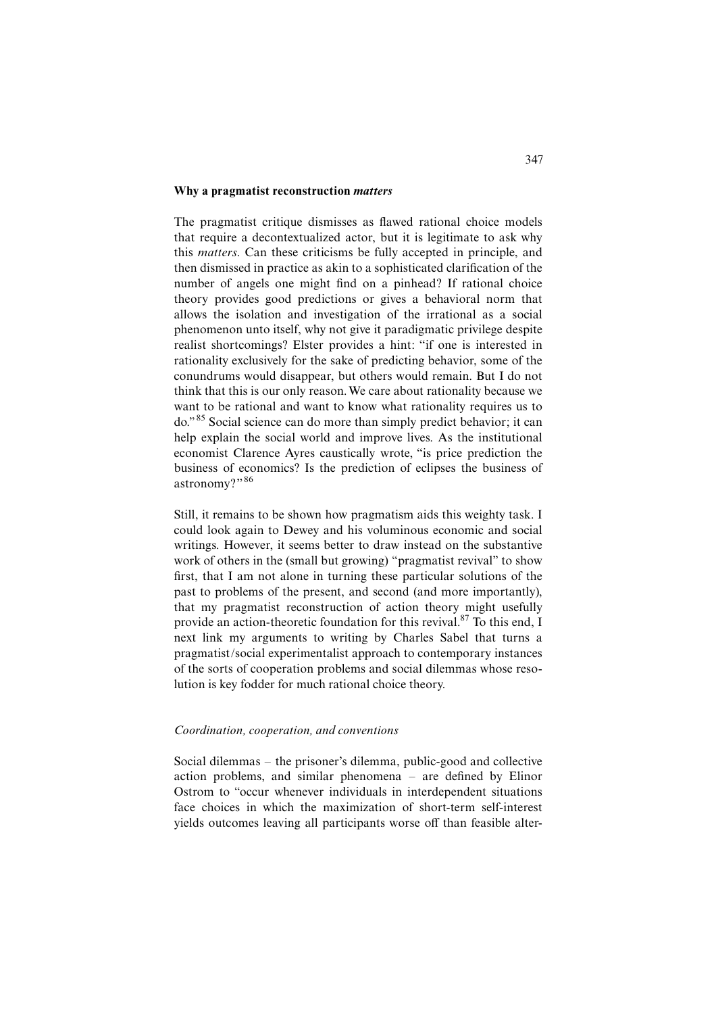## Why a pragmatist reconstruction matters

The pragmatist critique dismisses as flawed rational choice models that require a decontextualized actor, but it is legitimate to ask why this matters. Can these criticisms be fully accepted in principle, and then dismissed in practice as akin to a sophisticated clarification of the number of angels one might find on a pinhead? If rational choice theory provides good predictions or gives a behavioral norm that allows the isolation and investigation of the irrational as a social phenomenon unto itself, why not give it paradigmatic privilege despite realist shortcomings? Elster provides a hint: ''if one is interested in rationality exclusively for the sake of predicting behavior, some of the conundrums would disappear, but others would remain. But I do not think that this is our only reason.We care about rationality because we want to be rational and want to know what rationality requires us to do.'' <sup>85</sup> Social science can do more than simply predict behavior; it can help explain the social world and improve lives. As the institutional economist Clarence Ayres caustically wrote, ''is price prediction the business of economics? Is the prediction of eclipses the business of astronomy?'' <sup>86</sup>

Still, it remains to be shown how pragmatism aids this weighty task. I could look again to Dewey and his voluminous economic and social writings. However, it seems better to draw instead on the substantive work of others in the (small but growing) ''pragmatist revival'' to show first, that I am not alone in turning these particular solutions of the past to problems of the present, and second (and more importantly), that my pragmatist reconstruction of action theory might usefully provide an action-theoretic foundation for this revival.<sup>87</sup> To this end, I next link my arguments to writing by Charles Sabel that turns a pragmatist/social experimentalist approach to contemporary instances of the sorts of cooperation problems and social dilemmas whose resolution is key fodder for much rational choice theory.

## Coordination, cooperation, and conventions

Social dilemmas – the prisoner's dilemma, public-good and collective action problems, and similar phenomena  $-$  are defined by Elinor Ostrom to ''occur whenever individuals in interdependent situations face choices in which the maximization of short-term self-interest yields outcomes leaving all participants worse off than feasible alter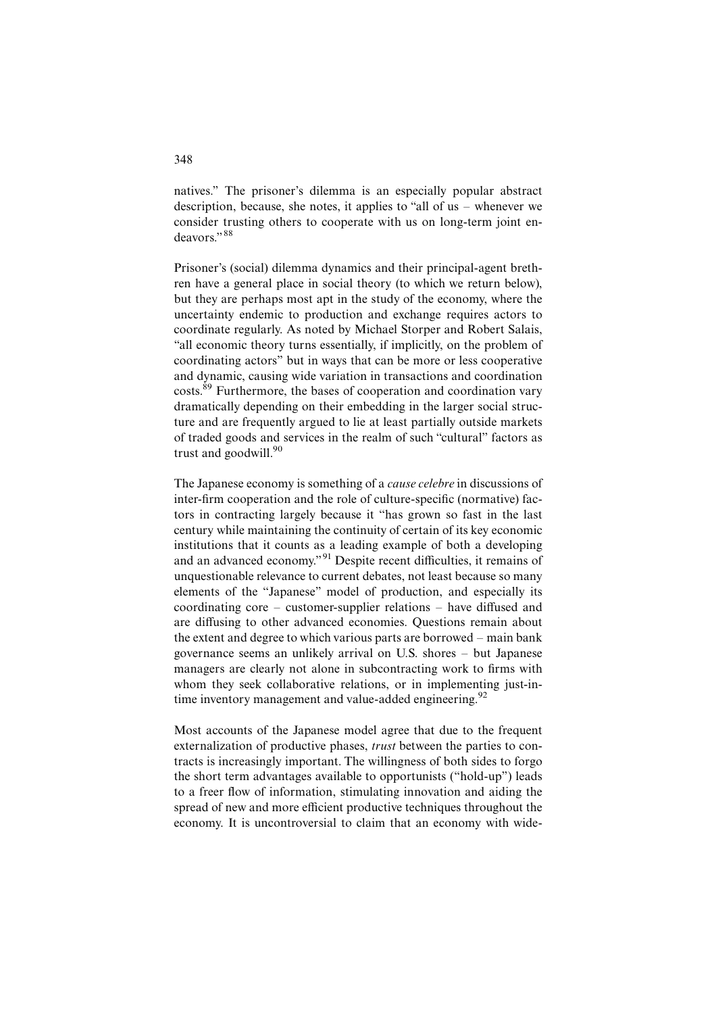natives.'' The prisoner's dilemma is an especially popular abstract description, because, she notes, it applies to "all of us  $-$  whenever we consider trusting others to cooperate with us on long-term joint endeavors." 88

Prisoner's (social) dilemma dynamics and their principal-agent brethren have a general place in social theory (to which we return below), but they are perhaps most apt in the study of the economy, where the uncertainty endemic to production and exchange requires actors to coordinate regularly. As noted by Michael Storper and Robert Salais, ''all economic theory turns essentially, if implicitly, on the problem of coordinating actors'' but in ways that can be more or less cooperative and dynamic, causing wide variation in transactions and coordination costs.<sup>89</sup> Furthermore, the bases of cooperation and coordination vary dramatically depending on their embedding in the larger social structure and are frequently argued to lie at least partially outside markets of traded goods and services in the realm of such "cultural" factors as trust and goodwill.<sup>90</sup>

The Japanese economy is something of a cause celebre in discussions of inter-firm cooperation and the role of culture-specific (normative) factors in contracting largely because it ''has grown so fast in the last century while maintaining the continuity of certain of its key economic institutions that it counts as a leading example of both a developing and an advanced economy."<sup>91</sup> Despite recent difficulties, it remains of unquestionable relevance to current debates, not least because so many elements of the ''Japanese'' model of production, and especially its coordinating core  $-$  customer-supplier relations  $-$  have diffused and are diffusing to other advanced economies. Questions remain about the extent and degree to which various parts are borrowed – main bank governance seems an unlikely arrival on U.S. shores ^ but Japanese managers are clearly not alone in subcontracting work to firms with whom they seek collaborative relations, or in implementing just-intime inventory management and value-added engineering.  $92$ 

Most accounts of the Japanese model agree that due to the frequent externalization of productive phases, trust between the parties to contracts is increasingly important. The willingness of both sides to forgo the short term advantages available to opportunists (''hold-up'') leads to a freer flow of information, stimulating innovation and aiding the spread of new and more efficient productive techniques throughout the economy. It is uncontroversial to claim that an economy with wide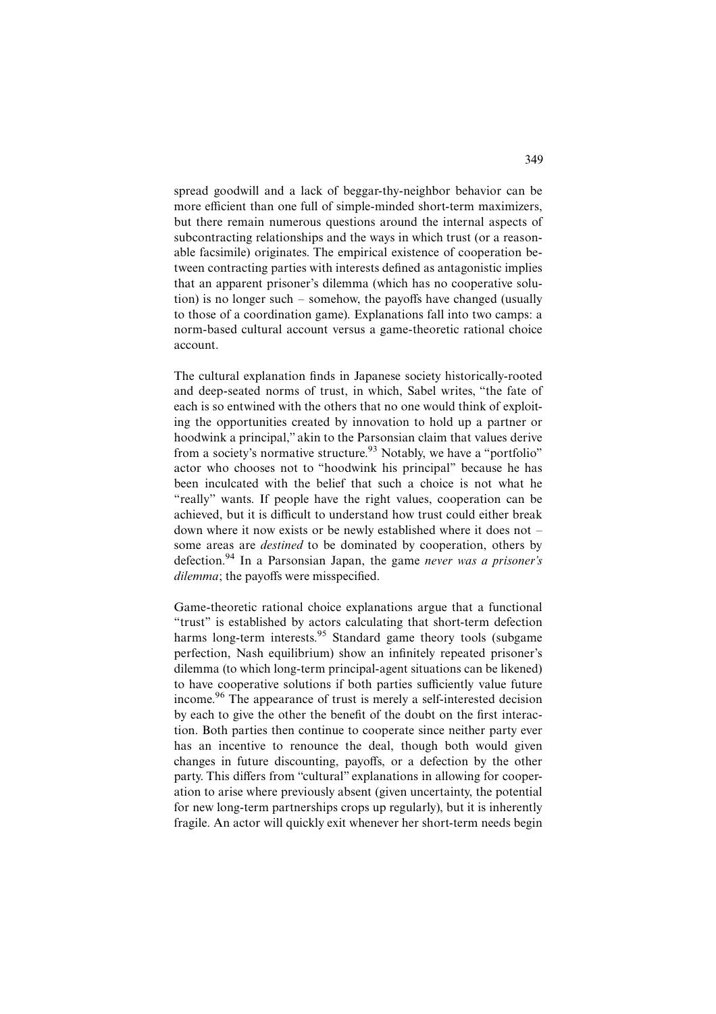spread goodwill and a lack of beggar-thy-neighbor behavior can be more efficient than one full of simple-minded short-term maximizers, but there remain numerous questions around the internal aspects of subcontracting relationships and the ways in which trust (or a reasonable facsimile) originates. The empirical existence of cooperation between contracting parties with interests defined as antagonistic implies that an apparent prisoner's dilemma (which has no cooperative solution) is no longer such  $-$  somehow, the payoffs have changed (usually to those of a coordination game). Explanations fall into two camps: a norm-based cultural account versus a game-theoretic rational choice account.

The cultural explanation finds in Japanese society historically-rooted and deep-seated norms of trust, in which, Sabel writes, ''the fate of each is so entwined with the others that no one would think of exploiting the opportunities created by innovation to hold up a partner or hoodwink a principal,'' akin to the Parsonsian claim that values derive from a society's normative structure.<sup>93</sup> Notably, we have a "portfolio" actor who chooses not to ''hoodwink his principal'' because he has been inculcated with the belief that such a choice is not what he "really" wants. If people have the right values, cooperation can be achieved, but it is difficult to understand how trust could either break down where it now exists or be newly established where it does not  $$ some areas are destined to be dominated by cooperation, others by defection.<sup>94</sup> In a Parsonsian Japan, the game *never was a prisoner's*  $dilemma$ ; the payoffs were misspecified.

Game-theoretic rational choice explanations argue that a functional "trust" is established by actors calculating that short-term defection harms long-term interests.<sup>95</sup> Standard game theory tools (subgame perfection, Nash equilibrium) show an infinitely repeated prisoner's dilemma (to which long-term principal-agent situations can be likened) to have cooperative solutions if both parties sufficiently value future income.96 The appearance of trust is merely a self-interested decision by each to give the other the benefit of the doubt on the first interaction. Both parties then continue to cooperate since neither party ever has an incentive to renounce the deal, though both would given changes in future discounting, payoffs, or a defection by the other party. This differs from "cultural" explanations in allowing for cooperation to arise where previously absent (given uncertainty, the potential for new long-term partnerships crops up regularly), but it is inherently fragile. An actor will quickly exit whenever her short-term needs begin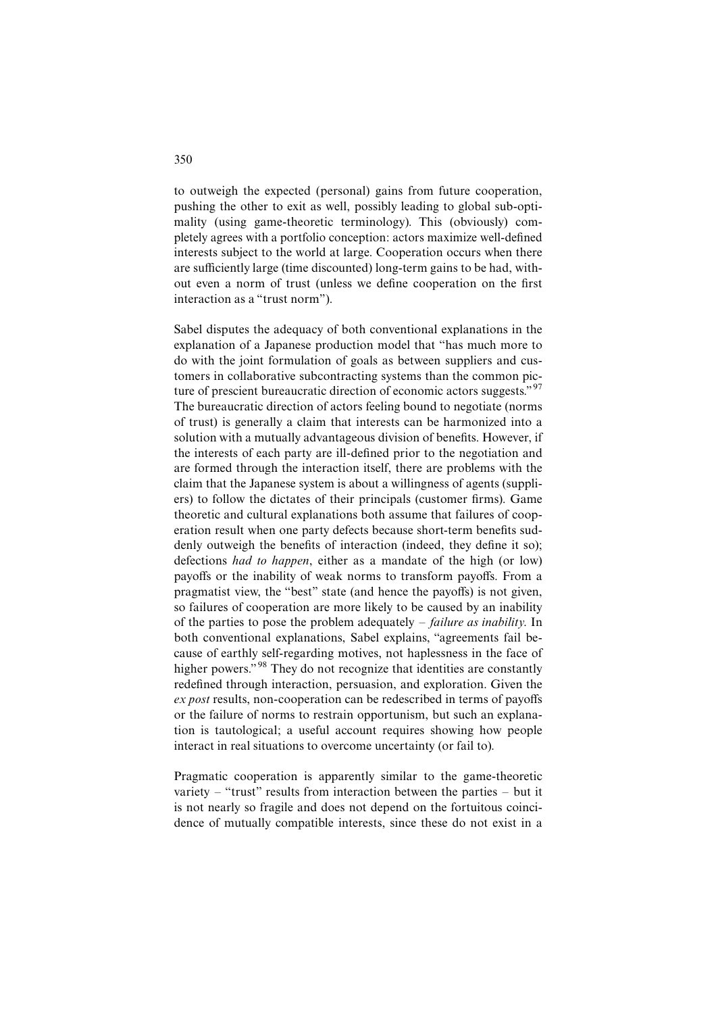to outweigh the expected (personal) gains from future cooperation, pushing the other to exit as well, possibly leading to global sub-optimality (using game-theoretic terminology). This (obviously) completely agrees with a portfolio conception: actors maximize well-defined interests subject to the world at large. Cooperation occurs when there are sufficiently large (time discounted) long-term gains to be had, without even a norm of trust (unless we define cooperation on the first interaction as a "trust norm").

Sabel disputes the adequacy of both conventional explanations in the explanation of a Japanese production model that ''has much more to do with the joint formulation of goals as between suppliers and customers in collaborative subcontracting systems than the common picture of prescient bureaucratic direction of economic actors suggests."<sup>97</sup> The bureaucratic direction of actors feeling bound to negotiate (norms of trust) is generally a claim that interests can be harmonized into a solution with a mutually advantageous division of benefits. However, if the interests of each party are ill-defined prior to the negotiation and are formed through the interaction itself, there are problems with the claim that the Japanese system is about a willingness of agents (suppliers) to follow the dictates of their principals (customer firms). Game theoretic and cultural explanations both assume that failures of cooperation result when one party defects because short-term benefits suddenly outweigh the benefits of interaction (indeed, they define it so); defections had to happen, either as a mandate of the high (or low) payoffs or the inability of weak norms to transform payoffs. From a pragmatist view, the "best" state (and hence the payoffs) is not given, so failures of cooperation are more likely to be caused by an inability of the parties to pose the problem adequately  $-\text{failure}$  as inability. In both conventional explanations, Sabel explains, "agreements fail because of earthly self-regarding motives, not haplessness in the face of higher powers."<sup>98</sup> They do not recognize that identities are constantly redefined through interaction, persuasion, and exploration. Given the  $ex$  *post* results, non-cooperation can be redescribed in terms of payoffs or the failure of norms to restrain opportunism, but such an explanation is tautological; a useful account requires showing how people interact in real situations to overcome uncertainty (or fail to).

Pragmatic cooperation is apparently similar to the game-theoretic variety  $-$  "trust" results from interaction between the parties  $-$  but it is not nearly so fragile and does not depend on the fortuitous coincidence of mutually compatible interests, since these do not exist in a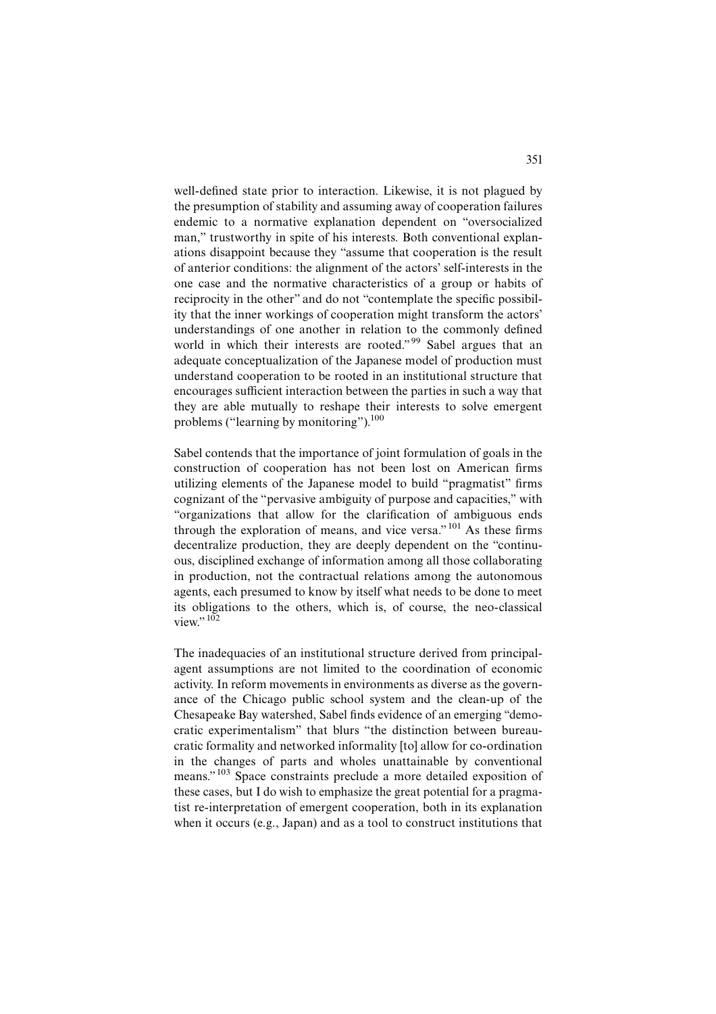well-defined state prior to interaction. Likewise, it is not plagued by the presumption of stability and assuming away of cooperation failures endemic to a normative explanation dependent on ''oversocialized man,'' trustworthy in spite of his interests. Both conventional explanations disappoint because they ''assume that cooperation is the result of anterior conditions: the alignment of the actors' self-interests in the one case and the normative characteristics of a group or habits of reciprocity in the other" and do not "contemplate the specific possibility that the inner workings of cooperation might transform the actors' understandings of one another in relation to the commonly defined world in which their interests are rooted."<sup>99</sup> Sabel argues that an adequate conceptualization of the Japanese model of production must understand cooperation to be rooted in an institutional structure that encourages sufficient interaction between the parties in such a way that they are able mutually to reshape their interests to solve emergent problems ("learning by monitoring").<sup>100</sup>

Sabel contends that the importance of joint formulation of goals in the construction of cooperation has not been lost on American firms utilizing elements of the Japanese model to build "pragmatist" firms cognizant of the ''pervasive ambiguity of purpose and capacities,'' with "organizations that allow for the clarification of ambiguous ends through the exploration of means, and vice versa."  $101$  As these firms decentralize production, they are deeply dependent on the ''continuous, disciplined exchange of information among all those collaborating in production, not the contractual relations among the autonomous agents, each presumed to know by itself what needs to be done to meet its obligations to the others, which is, of course, the neo-classical view." $102$ 

The inadequacies of an institutional structure derived from principalagent assumptions are not limited to the coordination of economic activity. In reform movements in environments as diverse as the governance of the Chicago public school system and the clean-up of the Chesapeake Bay watershed, Sabel finds evidence of an emerging "democratic experimentalism'' that blurs ''the distinction between bureaucratic formality and networked informality [to] allow for co-ordination in the changes of parts and wholes unattainable by conventional means."<sup>103</sup> Space constraints preclude a more detailed exposition of these cases, but I do wish to emphasize the great potential for a pragmatist re-interpretation of emergent cooperation, both in its explanation when it occurs (e.g., Japan) and as a tool to construct institutions that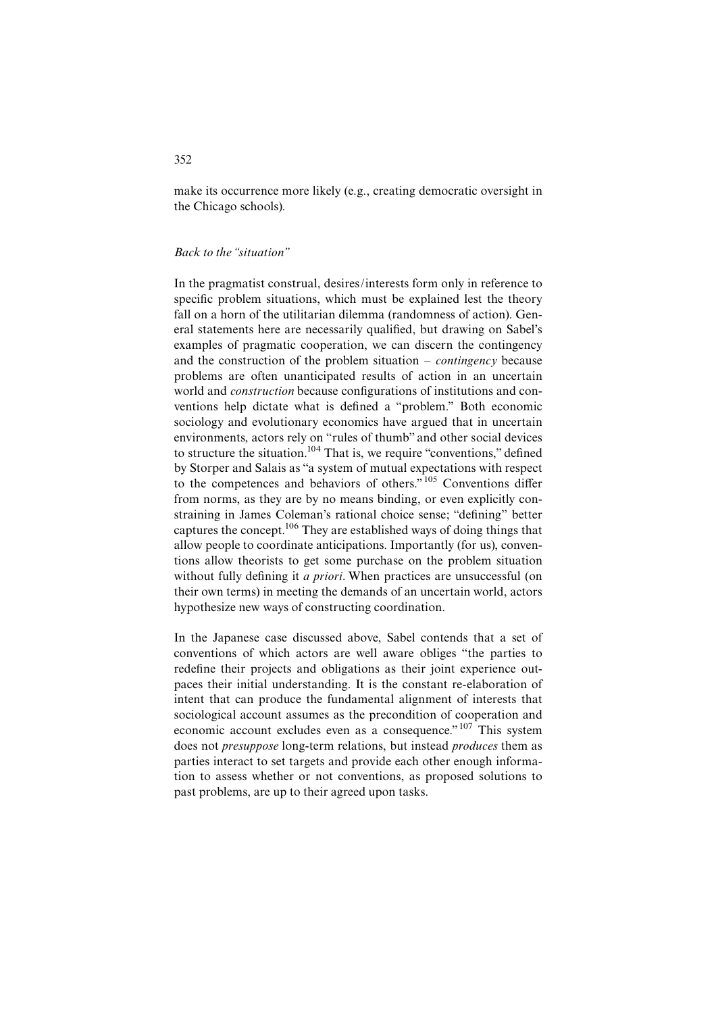make its occurrence more likely (e.g., creating democratic oversight in the Chicago schools).

#### Back to the ''situation''

In the pragmatist construal, desires/interests form only in reference to specific problem situations, which must be explained lest the theory fall on a horn of the utilitarian dilemma (randomness of action). General statements here are necessarily qualified, but drawing on Sabel's examples of pragmatic cooperation, we can discern the contingency and the construction of the problem situation  $-$  *contingency* because problems are often unanticipated results of action in an uncertain world and *construction* because configurations of institutions and conventions help dictate what is defined a "problem." Both economic sociology and evolutionary economics have argued that in uncertain environments, actors rely on ''rules of thumb'' and other social devices to structure the situation.<sup>104</sup> That is, we require "conventions," defined by Storper and Salais as ''a system of mutual expectations with respect to the competences and behaviors of others. $\dot{v}^{105}$  Conventions differ from norms, as they are by no means binding, or even explicitly constraining in James Coleman's rational choice sense; "defining" better captures the concept.106 They are established ways of doing things that allow people to coordinate anticipations. Importantly (for us), conventions allow theorists to get some purchase on the problem situation without fully defining it *a priori*. When practices are unsuccessful (on their own terms) in meeting the demands of an uncertain world, actors hypothesize new ways of constructing coordination.

In the Japanese case discussed above, Sabel contends that a set of conventions of which actors are well aware obliges ''the parties to redefine their projects and obligations as their joint experience outpaces their initial understanding. It is the constant re-elaboration of intent that can produce the fundamental alignment of interests that sociological account assumes as the precondition of cooperation and economic account excludes even as a consequence."<sup>107</sup> This system does not *presuppose* long-term relations, but instead *produces* them as parties interact to set targets and provide each other enough information to assess whether or not conventions, as proposed solutions to past problems, are up to their agreed upon tasks.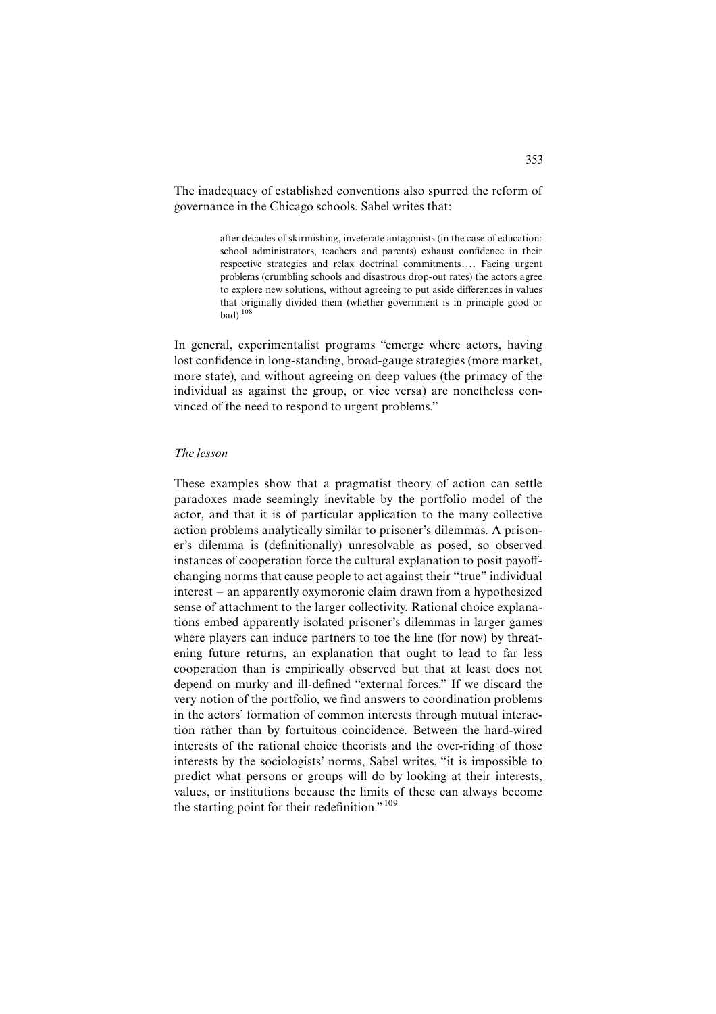The inadequacy of established conventions also spurred the reform of governance in the Chicago schools. Sabel writes that:

> after decades of skirmishing, inveterate antagonists (in the case of education: school administrators, teachers and parents) exhaust confidence in their respective strategies and relax doctrinal commitments.... Facing urgent problems (crumbling schools and disastrous drop-out rates) the actors agree to explore new solutions, without agreeing to put aside differences in values that originally divided them (whether government is in principle good or bad).108

In general, experimentalist programs ''emerge where actors, having lost confidence in long-standing, broad-gauge strategies (more market, more state), and without agreeing on deepvalues (the primacy of the individual as against the group, or vice versa) are nonetheless convinced of the need to respond to urgent problems.''

## The lesson

These examples show that a pragmatist theory of action can settle paradoxes made seemingly inevitable by the portfolio model of the actor, and that it is of particular application to the many collective action problems analytically similar to prisoner's dilemmas. A prisoner's dilemma is (definitionally) unresolvable as posed, so observed instances of cooperation force the cultural explanation to posit payoffchanging norms that cause people to act against their ''true'' individual interest ^ an apparently oxymoronic claim drawn from a hypothesized sense of attachment to the larger collectivity. Rational choice explanations embed apparently isolated prisoner's dilemmas in larger games where players can induce partners to toe the line (for now) by threatening future returns, an explanation that ought to lead to far less cooperation than is empirically observed but that at least does not depend on murky and ill-defined "external forces." If we discard the very notion of the portfolio, we find answers to coordination problems in the actors' formation of common interests through mutual interaction rather than by fortuitous coincidence. Between the hard-wired interests of the rational choice theorists and the over-riding of those interests by the sociologists' norms, Sabel writes, ''it is impossible to predict what persons or groups will do by looking at their interests, values, or institutions because the limits of these can always become the starting point for their redefinition."  $^{109}$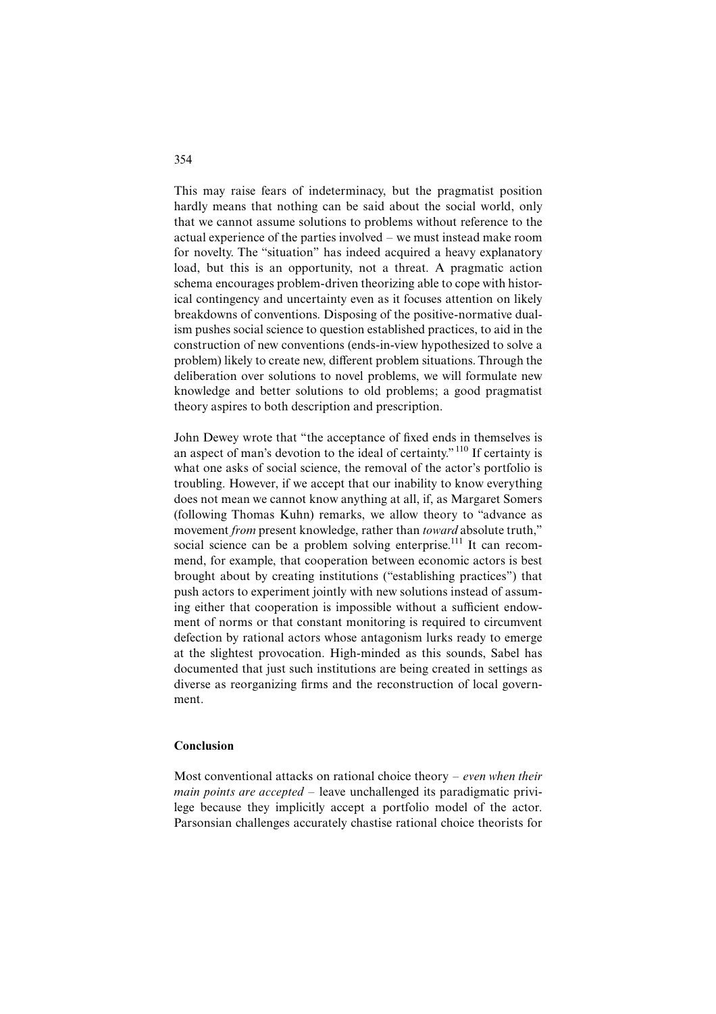This may raise fears of indeterminacy, but the pragmatist position hardly means that nothing can be said about the social world, only that we cannot assume solutions to problems without reference to the actual experience of the parties involved ^ we must instead make room for novelty. The ''situation'' has indeed acquired a heavy explanatory load, but this is an opportunity, not a threat. A pragmatic action schema encourages problem-driven theorizing able to cope with historical contingency and uncertainty even as it focuses attention on likely breakdowns of conventions. Disposing of the positive-normative dualism pushes social science to question established practices, to aid in the construction of new conventions (ends-in-view hypothesized to solve a problem) likely to create new, different problem situations. Through the deliberation over solutions to novel problems, we will formulate new knowledge and better solutions to old problems; a good pragmatist theory aspires to both description and prescription.

John Dewey wrote that "the acceptance of fixed ends in themselves is an aspect of man's devotion to the ideal of certainty.'' <sup>110</sup> If certainty is what one asks of social science, the removal of the actor's portfolio is troubling. However, if we accept that our inability to know everything does not mean we cannot know anything at all, if, as Margaret Somers (following Thomas Kuhn) remarks, we allow theory to ''advance as movement *from* present knowledge, rather than *toward* absolute truth," social science can be a problem solving enterprise.<sup>111</sup> It can recommend, for example, that cooperation between economic actors is best brought about by creating institutions (''establishing practices'') that push actors to experiment jointly with new solutions instead of assuming either that cooperation is impossible without a sufficient endowment of norms or that constant monitoring is required to circumvent defection by rational actors whose antagonism lurks ready to emerge at the slightest provocation. High-minded as this sounds, Sabel has documented that just such institutions are being created in settings as diverse as reorganizing firms and the reconstruction of local government.

## Conclusion

Most conventional attacks on rational choice theory  $-$  *even when their*  $main$  points are accepted  $-$  leave unchallenged its paradigmatic privilege because they implicitly accept a portfolio model of the actor. Parsonsian challenges accurately chastise rational choice theorists for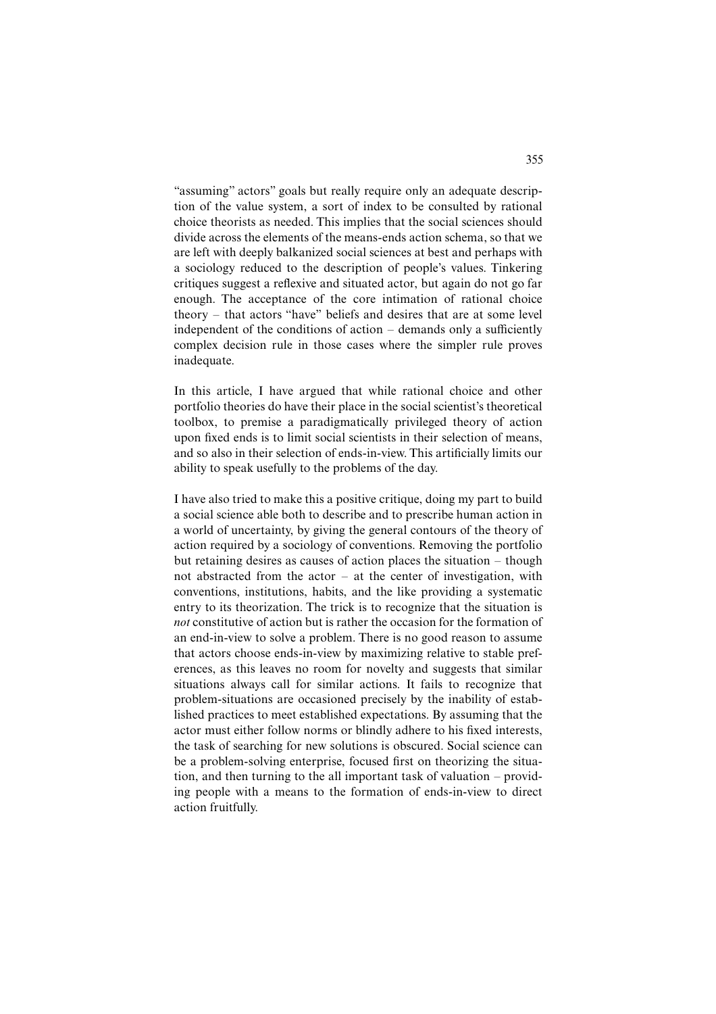"assuming" actors" goals but really require only an adequate description of the value system, a sort of index to be consulted by rational choice theorists as needed. This implies that the social sciences should divide across the elements of the means-ends action schema, so that we are left with deeply balkanized social sciences at best and perhaps with a sociology reduced to the description of people's values. Tinkering critiques suggest a reflexive and situated actor, but again do not go far enough. The acceptance of the core intimation of rational choice theory ^ that actors ''have'' beliefs and desires that are at some level independent of the conditions of action  $-$  demands only a sufficiently complex decision rule in those cases where the simpler rule proves inadequate.

In this article, I have argued that while rational choice and other portfolio theories do have their place in the social scientist's theoretical toolbox, to premise a paradigmatically privileged theory of action upon fixed ends is to limit social scientists in their selection of means, and so also in their selection of ends-in-view. This artificially limits our ability to speak usefully to the problems of the day.

I have also tried to make this a positive critique, doing my part to build a social science able both to describe and to prescribe human action in a world of uncertainty, by giving the general contours of the theory of action required by a sociology of conventions. Removing the portfolio but retaining desires as causes of action places the situation  $-$  though not abstracted from the actor  $-$  at the center of investigation, with conventions, institutions, habits, and the like providing a systematic entry to its theorization. The trick is to recognize that the situation is not constitutive of action but is rather the occasion for the formation of an end-in-view to solve a problem. There is no good reason to assume that actors choose ends-in-view by maximizing relative to stable preferences, as this leaves no room for novelty and suggests that similar situations always call for similar actions. It fails to recognize that problem-situations are occasioned precisely by the inability of established practices to meet established expectations. By assuming that the actor must either follow norms or blindly adhere to his fixed interests, the task of searching for new solutions is obscured. Social science can be a problem-solving enterprise, focused first on theorizing the situation, and then turning to the all important task of valuation  $-$  providing people with a means to the formation of ends-in-view to direct action fruitfully.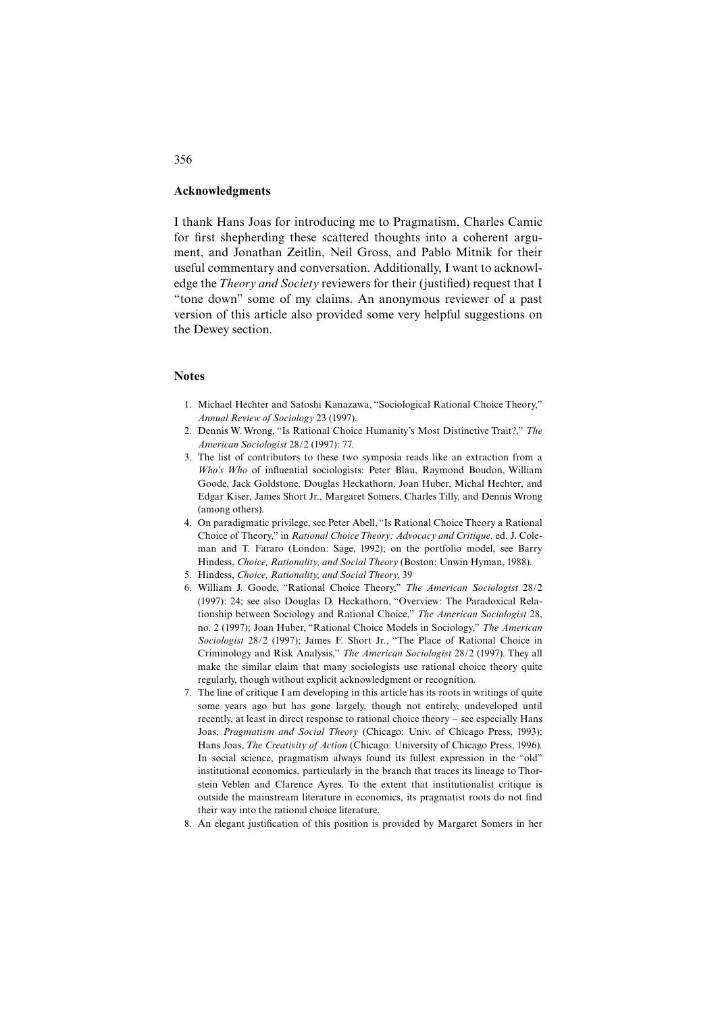#### Acknowledgments

I thank Hans Joas for introducing me to Pragmatism, Charles Camic for first shepherding these scattered thoughts into a coherent argument, and Jonathan Zeitlin, Neil Gross, and Pablo Mitnik for their useful commentary and conversation. Additionally, I want to acknowledge the *Theory and Society* reviewers for their (justified) request that I "tone down" some of my claims. An anonymous reviewer of a past version of this article also provided some very helpful suggestions on the Dewey section.

#### **Notes**

- 1. Michael Hechter and Satoshi Kanazawa, ''Sociological Rational Choice Theory,'' Annual Review of Sociology 23 (1997).
- 2. Dennis W. Wrong, ''Is Rational Choice Humanity's Most Distinctive Trait?,'' The American Sociologist 28/2 (1997): 77.
- 3. The list of contributors to these two symposia reads like an extraction from a Who's Who of influential sociologists: Peter Blau, Raymond Boudon, William Goode, Jack Goldstone, Douglas Heckathorn, Joan Huber, Michal Hechter, and Edgar Kiser, James Short Jr., Margaret Somers, Charles Tilly, and Dennis Wrong (among others).
- 4. On paradigmatic privilege, see Peter Abell,''Is Rational Choice Theory a Rational Choice of Theory,'' in Rational Choice Theory: Advocacy and Critique, ed. J. Coleman and T. Fararo (London: Sage, 1992); on the portfolio model, see Barry Hindess, Choice, Rationality, and Social Theory (Boston: Unwin Hyman, 1988).
- 5. Hindess, Choice, Rationality, and Social Theory, 39
- 6. William J. Goode, ''Rational Choice Theory,'' The American Sociologist 28/2 (1997): 24; see also Douglas D. Heckathorn, ''Overview: The Paradoxical Relationship between Sociology and Rational Choice," The American Sociologist 28, no. 2 (1997); Joan Huber, ''Rational Choice Models in Sociology,'' The American Sociologist 28/2 (1997); James F. Short Jr., "The Place of Rational Choice in Criminology and Risk Analysis,'' The American Sociologist 28/2 (1997). They all make the similar claim that many sociologists use rational choice theory quite regularly, though without explicit acknowledgment or recognition.
- 7. The line of critique I am developing in this article has its roots in writings of quite some years ago but has gone largely, though not entirely, undeveloped until recently, at least in direct response to rational choice theory – see especially Hans Joas, Pragmatism and Social Theory (Chicago: Univ. of Chicago Press, 1993); Hans Joas, The Creativity of Action (Chicago: University of Chicago Press, 1996). In social science, pragmatism always found its fullest expression in the ''old'' institutional economics, particularly in the branch that traces its lineage to Thorstein Veblen and Clarence Ayres. To the extent that institutionalist critique is outside the mainstream literature in economics, its pragmatist roots do not find their way into the rational choice literature.
- 8. An elegant justification of this position is provided by Margaret Somers in her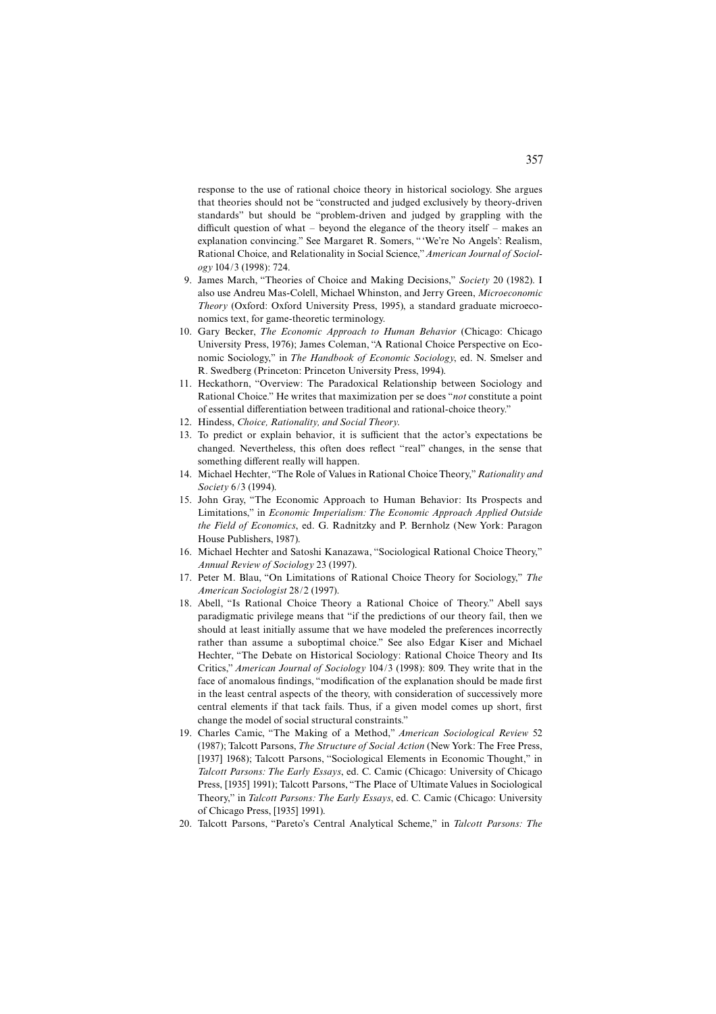response to the use of rational choice theory in historical sociology. She argues that theories should not be ''constructed and judged exclusively by theory-driven standards'' but should be ''problem-driven and judged by grappling with the difficult question of what  $-$  beyond the elegance of the theory itself  $-$  makes an explanation convincing.'' See Margaret R. Somers, '''We're No Angels': Realism, Rational Choice, and Relationality in Social Science," American Journal of Sociology 104/3 (1998): 724.

- 9. James March, "Theories of Choice and Making Decisions," Society 20 (1982). I also use Andreu Mas-Colell, Michael Whinston, and Jerry Green, Microeconomic Theory (Oxford: Oxford University Press, 1995), a standard graduate microeconomics text, for game-theoretic terminology.
- 10. Gary Becker, The Economic Approach to Human Behavior (Chicago: Chicago University Press, 1976); James Coleman, ''A Rational Choice Perspective on Economic Sociology," in The Handbook of Economic Sociology, ed. N. Smelser and R. Swedberg (Princeton: Princeton University Press, 1994).
- 11. Heckathorn, "Overview: The Paradoxical Relationship between Sociology and Rational Choice." He writes that maximization per se does "not constitute a point of essential differentiation between traditional and rational-choice theory."
- 12. Hindess, Choice, Rationality, and Social Theory.
- 13. To predict or explain behavior, it is sufficient that the actor's expectations be changed. Nevertheless, this often does reflect "real" changes, in the sense that something different really will happen.
- 14. Michael Hechter,''The Role of Values in Rational Choice Theory,'' Rationality and Society 6/3 (1994).
- 15. John Gray, ''The Economic Approach to Human Behavior: Its Prospects and Limitations,'' in Economic Imperialism: The Economic Approach Applied Outside the Field of Economics, ed. G. Radnitzky and P. Bernholz (New York: Paragon House Publishers, 1987).
- 16. Michael Hechter and Satoshi Kanazawa, ''Sociological Rational Choice Theory,'' Annual Review of Sociology 23 (1997).
- 17. Peter M. Blau, "On Limitations of Rational Choice Theory for Sociology," The American Sociologist 28/2 (1997).
- 18. Abell, ''Is Rational Choice Theory a Rational Choice of Theory.'' Abell says paradigmatic privilege means that ''if the predictions of our theory fail, then we should at least initially assume that we have modeled the preferences incorrectly rather than assume a suboptimal choice.'' See also Edgar Kiser and Michael Hechter, "The Debate on Historical Sociology: Rational Choice Theory and Its Critics,'' American Journal of Sociology 104/3 (1998): 809. They write that in the face of anomalous findings, "modification of the explanation should be made first in the least central aspects of the theory, with consideration of successively more central elements if that tack fails. Thus, if a given model comes up short, first change the model of social structural constraints.''
- 19. Charles Camic, "The Making of a Method," American Sociological Review 52 (1987); Talcott Parsons, The Structure of Social Action (New York: The Free Press, [1937] 1968); Talcott Parsons, "Sociological Elements in Economic Thought," in Talcott Parsons: The Early Essays, ed. C. Camic (Chicago: University of Chicago Press, [1935] 1991); Talcott Parsons, "The Place of Ultimate Values in Sociological Theory," in Talcott Parsons: The Early Essays, ed. C. Camic (Chicago: University of Chicago Press, [1935] 1991).
- 20. Talcott Parsons, "Pareto's Central Analytical Scheme," in Talcott Parsons: The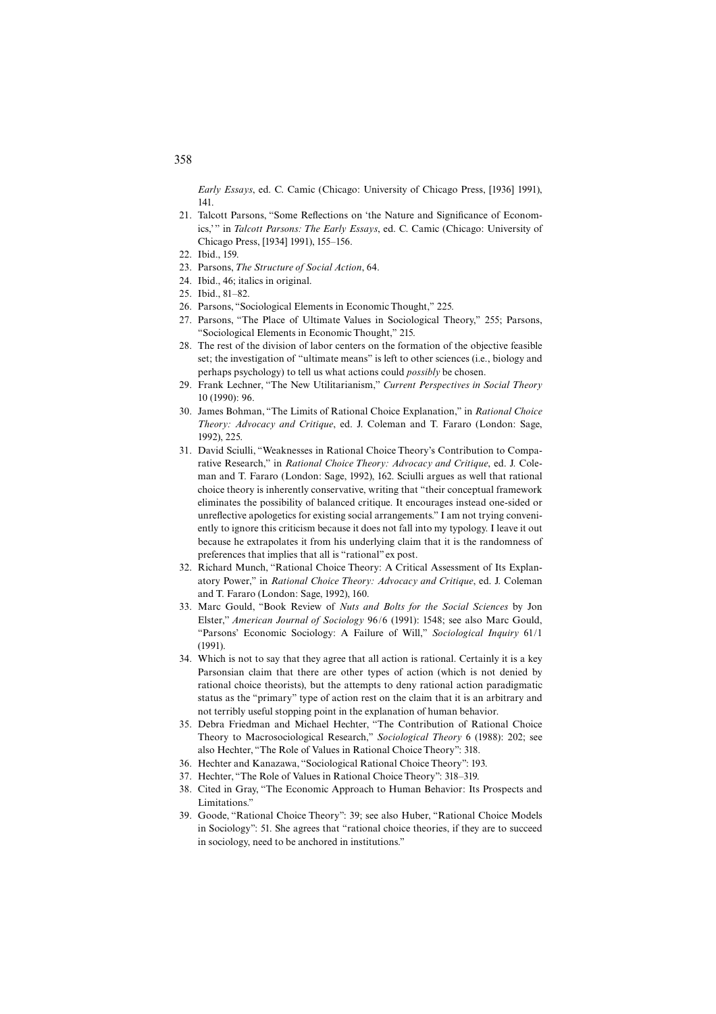Early Essays, ed. C. Camic (Chicago: University of Chicago Press, [1936] 1991), 141.

- 21. Talcott Parsons, "Some Reflections on 'the Nature and Significance of Economics,'" in Talcott Parsons: The Early Essays, ed. C. Camic (Chicago: University of Chicago Press, [1934] 1991), 155^156.
- 22. Ibid., 159.
- 23. Parsons, The Structure of Social Action, 64.
- 24. Ibid., 46; italics in original.
- 25. Ibid., 81^82.
- 26. Parsons,''Sociological Elements in Economic Thought,'' 225.
- 27. Parsons, ''The Place of Ultimate Values in Sociological Theory,'' 255; Parsons, ''Sociological Elements in Economic Thought,'' 215.
- 28. The rest of the division of labor centers on the formation of the objective feasible set; the investigation of ''ultimate means'' is left to other sciences (i.e., biology and perhaps psychology) to tell us what actions could possibly be chosen.
- 29. Frank Lechner, "The New Utilitarianism," Current Perspectives in Social Theory 10 (1990): 96.
- 30. James Bohman, ''The Limits of Rational Choice Explanation,'' in Rational Choice Theory: Advocacy and Critique, ed. J. Coleman and T. Fararo (London: Sage, 1992), 225.
- 31. David Sciulli, ''Weaknesses in Rational Choice Theory's Contribution to Comparative Research," in Rational Choice Theory: Advocacy and Critique, ed. J. Coleman and T. Fararo (London: Sage, 1992), 162. Sciulli argues as well that rational choice theory is inherently conservative, writing that ''their conceptual framework eliminates the possibility of balanced critique. It encourages instead one-sided or unreflective apologetics for existing social arrangements." I am not trying conveniently to ignore this criticism because it does not fall into my typology. I leave it out because he extrapolates it from his underlying claim that it is the randomness of preferences that implies that all is ''rational'' ex post.
- 32. Richard Munch, ''Rational Choice Theory: A Critical Assessment of Its Explanatory Power," in Rational Choice Theory: Advocacy and Critique, ed. J. Coleman and T. Fararo (London: Sage, 1992), 160.
- 33. Marc Gould, ''Book Review of Nuts and Bolts for the Social Sciences by Jon Elster,'' American Journal of Sociology 96/6 (1991): 1548; see also Marc Gould, "Parsons' Economic Sociology: A Failure of Will," Sociological Inquiry 61/1 (1991).
- 34. Which is not to say that they agree that all action is rational. Certainly it is a key Parsonsian claim that there are other types of action (which is not denied by rational choice theorists), but the attempts to deny rational action paradigmatic status as the ''primary'' type of action rest on the claim that it is an arbitrary and not terribly useful stopping point in the explanation of human behavior.
- 35. Debra Friedman and Michael Hechter, ''The Contribution of Rational Choice Theory to Macrosociological Research," Sociological Theory 6 (1988): 202; see also Hechter, ''The Role of Values in Rational Choice Theory'': 318.
- 36. Hechter and Kanazawa, ''Sociological Rational Choice Theory'': 193.
- 37. Hechter, ''The Role of Values in Rational Choice Theory'': 318^319.
- 38. Cited in Gray, ''The Economic Approach to Human Behavior: Its Prospects and Limitations.''
- 39. Goode, ''Rational Choice Theory'': 39; see also Huber, ''Rational Choice Models in Sociology'': 51. She agrees that ''rational choice theories, if they are to succeed in sociology, need to be anchored in institutions.''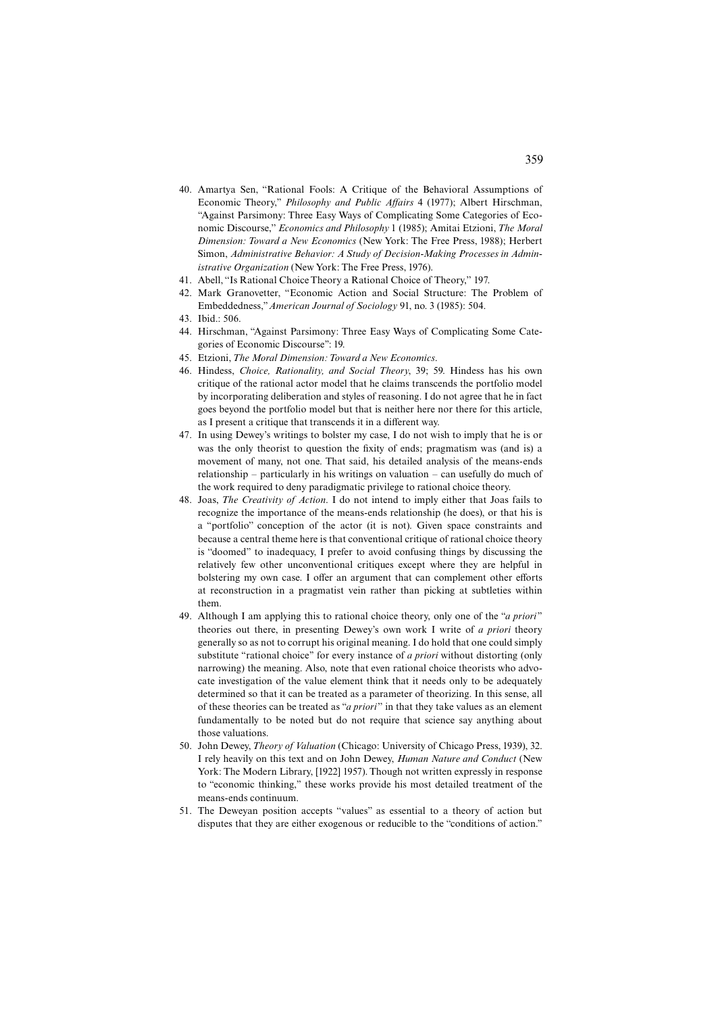- 40. Amartya Sen, ''Rational Fools: A Critique of the Behavioral Assumptions of Economic Theory," Philosophy and Public Affairs 4 (1977); Albert Hirschman, "Against Parsimony: Three Easy Ways of Complicating Some Categories of Economic Discourse,'' Economics and Philosophy 1 (1985); Amitai Etzioni, The Moral Dimension: Toward a New Economics (New York: The Free Press, 1988); Herbert Simon, Administrative Behavior: A Study of Decision-Making Processes in Administrative Organization (New York: The Free Press, 1976).
- 41. Abell, ''Is Rational Choice Theory a Rational Choice of Theory,'' 197.
- 42. Mark Granovetter, ''Economic Action and Social Structure: The Problem of Embeddedness,''American Journal of Sociology 91, no. 3 (1985): 504.
- $43$  Ibid $\cdot$  506.
- 44. Hirschman, ''Against Parsimony: Three Easy Ways of Complicating Some Categories of Economic Discourse'': 19.
- 45. Etzioni, The Moral Dimension: Toward a New Economics.
- 46. Hindess, Choice, Rationality, and Social Theory, 39; 59. Hindess has his own critique of the rational actor model that he claims transcends the portfolio model by incorporating deliberation and styles of reasoning. I do not agree that he in fact goes beyond the portfolio model but that is neither here nor there for this article, as I present a critique that transcends it in a different way.
- 47. In using Dewey's writings to bolster my case, I do not wish to imply that he is or was the only theorist to question the fixity of ends; pragmatism was (and is) a movement of many, not one. That said, his detailed analysis of the means-ends relationship – particularly in his writings on valuation – can usefully do much of the work required to deny paradigmatic privilege to rational choice theory.
- 48. Joas, The Creativity of Action. I do not intend to imply either that Joas fails to recognize the importance of the means-ends relationship (he does), or that his is a ''portfolio'' conception of the actor (it is not). Given space constraints and because a central theme here is that conventional critique of rational choice theory is ''doomed'' to inadequacy, I prefer to avoid confusing things by discussing the relatively few other unconventional critiques except where they are helpful in bolstering my own case. I offer an argument that can complement other efforts at reconstruction in a pragmatist vein rather than picking at subtleties within them.
- 49. Although I am applying this to rational choice theory, only one of the "*a priori*" theories out there, in presenting Dewey's own work I write of a priori theory generally so as not to corrupt his original meaning. I do hold that one could simply substitute "rational choice" for every instance of a priori without distorting (only narrowing) the meaning. Also, note that even rational choice theorists who advocate investigation of the value element think that it needs only to be adequately determined so that it can be treated as a parameter of theorizing. In this sense, all of these theories can be treated as "*a priori*" in that they take values as an element fundamentally to be noted but do not require that science say anything about those valuations.
- 50. John Dewey, Theory of Valuation (Chicago: University of Chicago Press, 1939), 32. I rely heavily on this text and on John Dewey, Human Nature and Conduct (New York: The Modern Library, [1922] 1957). Though not written expressly in response to "economic thinking," these works provide his most detailed treatment of the means-ends continuum.
- 51. The Deweyan position accepts ''values'' as essential to a theory of action but disputes that they are either exogenous or reducible to the ''conditions of action.''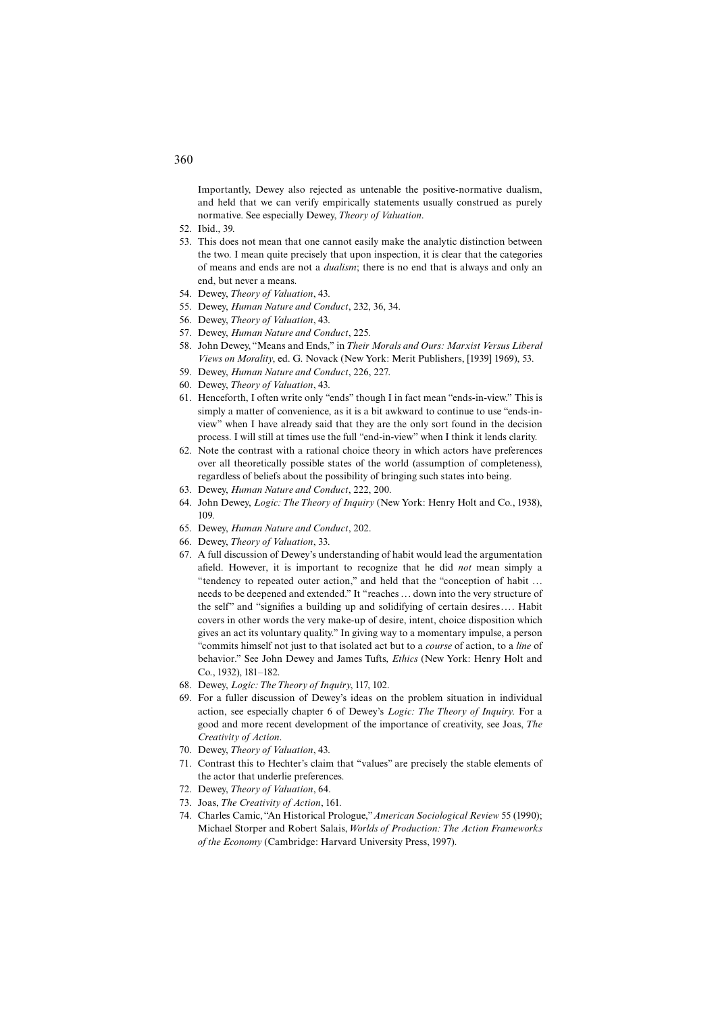Importantly, Dewey also rejected as untenable the positive-normative dualism, and held that we can verify empirically statements usually construed as purely normative. See especially Dewey, Theory of Valuation.

- 52. Ibid., 39.
- 53. This does not mean that one cannot easily make the analytic distinction between the two. I mean quite precisely that upon inspection, it is clear that the categories of means and ends are not a dualism; there is no end that is always and only an end, but never a means.
- 54. Dewey, Theory of Valuation, 43.
- 55. Dewey, Human Nature and Conduct, 232, 36, 34.
- 56. Dewey, Theory of Valuation, 43.
- 57. Dewey, Human Nature and Conduct, 225.
- 58. John Dewey,''Means and Ends,'' in Their Morals and Ours: Marxist Versus Liberal Views on Morality, ed. G. Novack (New York: Merit Publishers, [1939] 1969), 53.
- 59. Dewey, Human Nature and Conduct, 226, 227.
- 60. Dewey, Theory of Valuation, 43.
- 61. Henceforth, I often write only ''ends'' though I in fact mean ''ends-in-view.'' This is simply a matter of convenience, as it is a bit awkward to continue to use "ends-inview'' when I have already said that they are the only sort found in the decision process. I will still at times use the full ''end-in-view'' when I think it lends clarity.
- 62. Note the contrast with a rational choice theory in which actors have preferences over all theoretically possible states of the world (assumption of completeness), regardless of beliefs about the possibility of bringing such states into being.
- 63. Dewey, Human Nature and Conduct, 222, 200.
- 64. John Dewey, Logic: The Theory of Inquiry (New York: Henry Holt and Co., 1938), 109.
- 65. Dewey, Human Nature and Conduct, 202.
- 66. Dewey, Theory of Valuation, 33.
- 67. A full discussion of Dewey's understanding of habit would lead the argumentation afield. However, it is important to recognize that he did *not* mean simply a ''tendency to repeated outer action,'' and held that the ''conception of habit ... needs to be deepened and extended.'' It ''reaches ... down into the very structure of the self" and "signifies a building up and solidifying of certain desires.... Habit covers in other words the very make-up of desire, intent, choice disposition which gives an act its voluntary quality.'' In giving way to a momentary impulse, a person ''commits himself not just to that isolated act but to a course of action, to a line of behavior.'' See John Dewey and James Tufts, Ethics (New York: Henry Holt and Co., 1932), 181-182.
- 68. Dewey, Logic: The Theory of Inquiry, 117, 102.
- 69. For a fuller discussion of Dewey's ideas on the problem situation in individual action, see especially chapter 6 of Dewey's Logic: The Theory of Inquiry. For a good and more recent development of the importance of creativity, see Joas, The Creativity of Action.
- 70. Dewey, Theory of Valuation, 43.
- 71. Contrast this to Hechter's claim that ''values'' are precisely the stable elements of the actor that underlie preferences.
- 72. Dewey, Theory of Valuation, 64.
- 73. Joas, The Creativity of Action, 161.
- 74. Charles Camic,''An Historical Prologue,''American Sociological Review 55 (1990); Michael Storper and Robert Salais, Worlds of Production: The Action Frameworks of the Economy (Cambridge: Harvard University Press, 1997).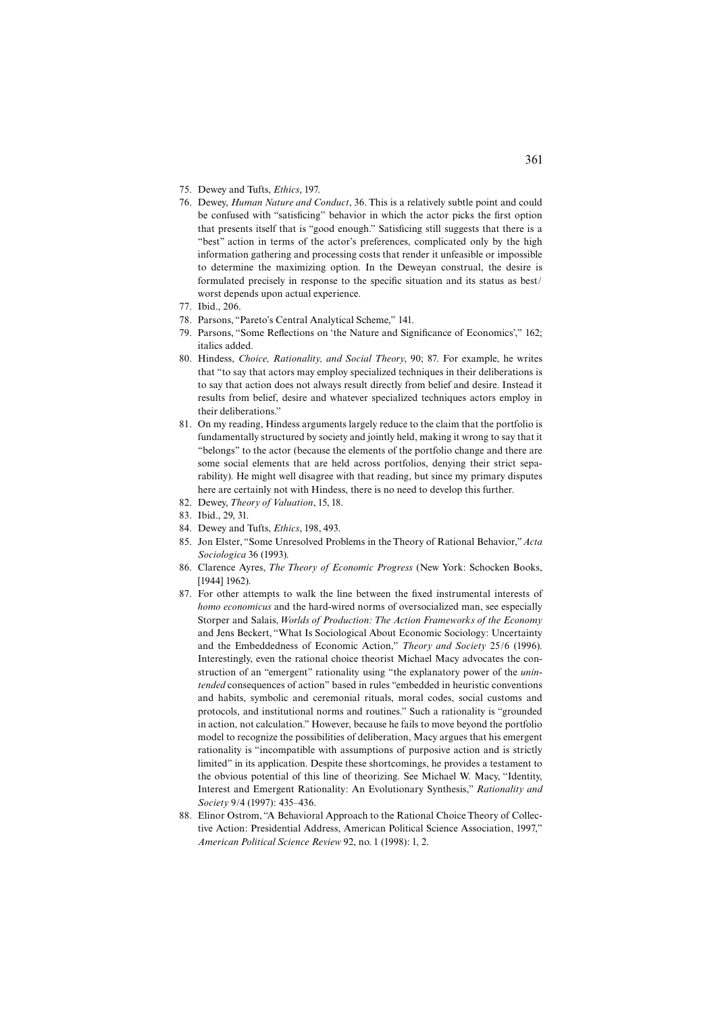- 75. Dewey and Tufts, Ethics, 197.
- 76. Dewey, Human Nature and Conduct, 36. This is a relatively subtle point and could be confused with "satisficing" behavior in which the actor picks the first option that presents itself that is "good enough." Satisficing still suggests that there is a "best" action in terms of the actor's preferences, complicated only by the high information gathering and processing costs that render it unfeasible or impossible to determine the maximizing option. In the Deweyan construal, the desire is formulated precisely in response to the specific situation and its status as best/ worst depends upon actual experience.
- 77. Ibid., 206.
- 78. Parsons,''Pareto's Central Analytical Scheme,'' 141.
- 79. Parsons, "Some Reflections on 'the Nature and Significance of Economics'," 162; italics added.
- 80. Hindess, Choice, Rationality, and Social Theory, 90; 87. For example, he writes that ''to say that actors may employ specialized techniques in their deliberations is to say that action does not always result directly from belief and desire. Instead it results from belief, desire and whatever specialized techniques actors employ in their deliberations.''
- 81. On my reading, Hindess arguments largely reduce to the claim that the portfolio is fundamentally structured by society and jointly held, making it wrong to say that it ''belongs'' to the actor (because the elements of the portfolio change and there are some social elements that are held across portfolios, denying their strict separability). He might well disagree with that reading, but since my primary disputes here are certainly not with Hindess, there is no need to develop this further.
- 82. Dewey, Theory of Valuation, 15, 18.
- 83. Ibid., 29, 31.
- 84. Dewey and Tufts, Ethics, 198, 493.
- 85. Jon Elster, "Some Unresolved Problems in the Theory of Rational Behavior," Acta Sociologica 36 (1993).
- 86. Clarence Ayres, The Theory of Economic Progress (New York: Schocken Books, [1944] 1962).
- 87. For other attempts to walk the line between the fixed instrumental interests of homo economicus and the hard-wired norms of oversocialized man, see especially Storper and Salais, Worlds of Production: The Action Frameworks of the Economy and Jens Beckert, ''What Is Sociological About Economic Sociology: Uncertainty and the Embeddedness of Economic Action,'' Theory and Society 25/6 (1996). Interestingly, even the rational choice theorist Michael Macy advocates the construction of an "emergent" rationality using "the explanatory power of the *unin*tended consequences of action'' based in rules ''embedded in heuristic conventions and habits, symbolic and ceremonial rituals, moral codes, social customs and protocols, and institutional norms and routines.'' Such a rationality is ''grounded in action, not calculation.'' However, because he fails to move beyond the portfolio model to recognize the possibilities of deliberation, Macy argues that his emergent rationality is ''incompatible with assumptions of purposive action and is strictly limited'' in its application. Despite these shortcomings, he provides a testament to the obvious potential of this line of theorizing. See Michael W. Macy, ''Identity, Interest and Emergent Rationality: An Evolutionary Synthesis," Rationality and Society 9/4 (1997): 435-436.
- 88. Elinor Ostrom, "A Behavioral Approach to the Rational Choice Theory of Collective Action: Presidential Address, American Political Science Association, 1997,'' American Political Science Review 92, no. 1 (1998): 1, 2.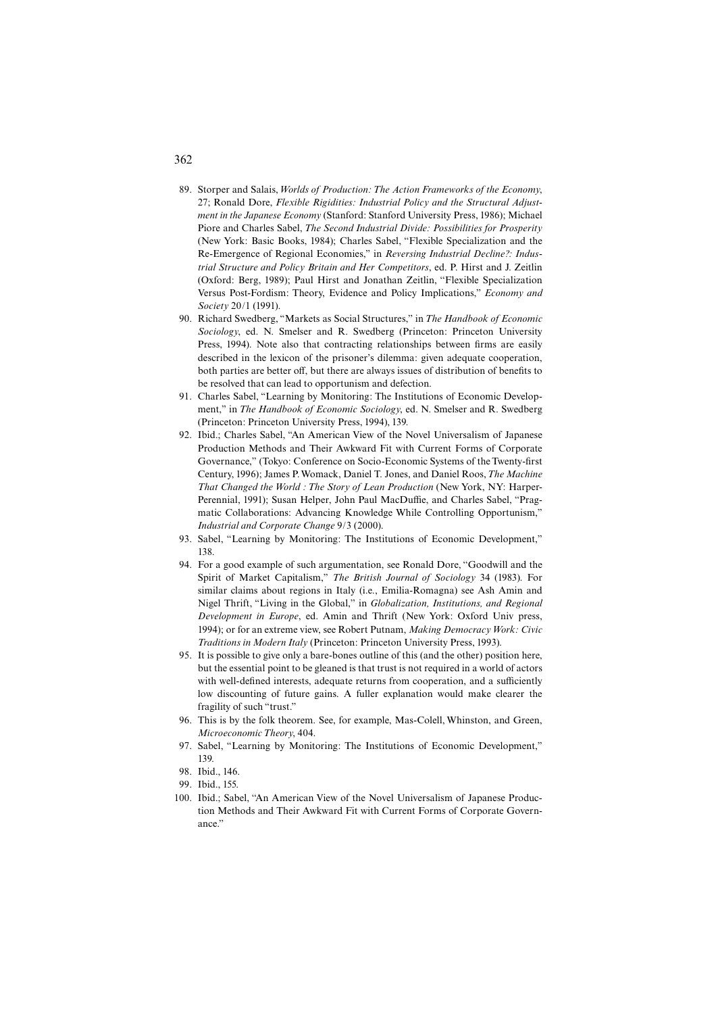- 89. Storper and Salais, Worlds of Production: The Action Frameworks of the Economy, 27; Ronald Dore, Flexible Rigidities: Industrial Policy and the Structural Adjustment in the Japanese Economy (Stanford: Stanford University Press, 1986); Michael Piore and Charles Sabel, The Second Industrial Divide: Possibilities for Prosperity (New York: Basic Books, 1984); Charles Sabel, ''Flexible Specialization and the Re-Emergence of Regional Economies," in Reversing Industrial Decline?: Industrial Structure and Policy Britain and Her Competitors, ed. P. Hirst and J. Zeitlin (Oxford: Berg, 1989); Paul Hirst and Jonathan Zeitlin, ''Flexible Specialization Versus Post-Fordism: Theory, Evidence and Policy Implications," Economy and Society 20/1 (1991).
- 90. Richard Swedberg, "Markets as Social Structures," in The Handbook of Economic Sociology, ed. N. Smelser and R. Swedberg (Princeton: Princeton University Press, 1994). Note also that contracting relationships between firms are easily described in the lexicon of the prisoner's dilemma: given adequate cooperation, both parties are better off, but there are always issues of distribution of benefits to be resolved that can lead to opportunism and defection.
- 91. Charles Sabel, "Learning by Monitoring: The Institutions of Economic Development," in The Handbook of Economic Sociology, ed. N. Smelser and R. Swedberg (Princeton: Princeton University Press, 1994), 139.
- 92. Ibid.; Charles Sabel, "An American View of the Novel Universalism of Japanese Production Methods and Their Awkward Fit with Current Forms of Corporate Governance," (Tokyo: Conference on Socio-Economic Systems of the Twenty-first Century, 1996); James P. Womack, Daniel T. Jones, and Daniel Roos, The Machine That Changed the World : The Story of Lean Production (New York, NY: Harper-Perennial, 1991); Susan Helper, John Paul MacDuffie, and Charles Sabel, "Pragmatic Collaborations: Advancing Knowledge While Controlling Opportunism,'' Industrial and Corporate Change 9/3 (2000).
- 93. Sabel, "Learning by Monitoring: The Institutions of Economic Development," 138.
- 94. For a good example of such argumentation, see Ronald Dore, ''Goodwill and the Spirit of Market Capitalism," The British Journal of Sociology 34 (1983). For similar claims about regions in Italy (i.e., Emilia-Romagna) see Ash Amin and Nigel Thrift, "Living in the Global," in Globalization, Institutions, and Regional Development in Europe, ed. Amin and Thrift (New York: Oxford Univ press, 1994); or for an extreme view, see Robert Putnam, Making Democracy Work: Civic Traditions in Modern Italy (Princeton: Princeton University Press, 1993).
- 95. It is possible to give only a bare-bones outline of this (and the other) position here, but the essential point to be gleaned is that trust is not required in a world of actors with well-defined interests, adequate returns from cooperation, and a sufficiently low discounting of future gains. A fuller explanation would make clearer the fragility of such ''trust.''
- 96. This is by the folk theorem. See, for example, Mas-Colell, Whinston, and Green, Microeconomic Theory, 404.
- 97. Sabel, "Learning by Monitoring: The Institutions of Economic Development," 139.
- 98. Ibid., 146.
- 99. Ibid., 155.
- 100. Ibid.; Sabel, ''An American View of the Novel Universalism of Japanese Production Methods and Their Awkward Fit with Current Forms of Corporate Governance.''